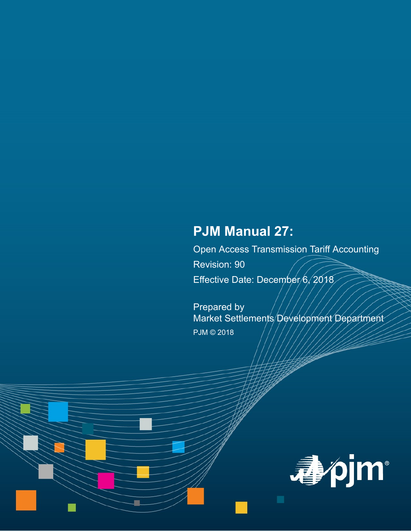# **PJM Manual 27:**

Open Access Transmission Tariff Accounting Revision: 90 Effective Date: December/6, 2018

Prepared by

Market Settlements Development Department PJM © 2018

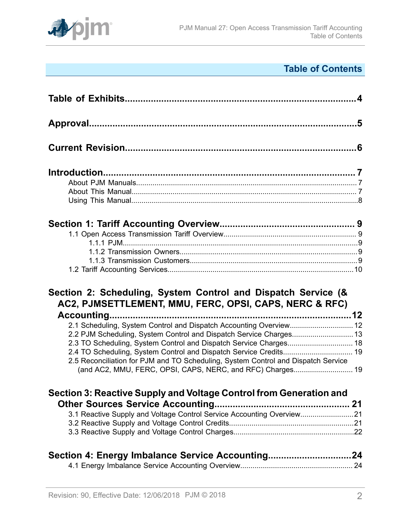

# **Table of Contents**

| Section 2: Scheduling, System Control and Dispatch Service (&<br>AC2, PJMSETTLEMENT, MMU, FERC, OPSI, CAPS, NERC & RFC)                         |  |
|-------------------------------------------------------------------------------------------------------------------------------------------------|--|
| 2.1 Scheduling, System Control and Dispatch Accounting Overview 12                                                                              |  |
|                                                                                                                                                 |  |
|                                                                                                                                                 |  |
|                                                                                                                                                 |  |
| 2.5 Reconciliation for PJM and TO Scheduling, System Control and Dispatch Service<br>(and AC2, MMU, FERC, OPSI, CAPS, NERC, and RFC) Charges 19 |  |
| Section 3: Reactive Supply and Voltage Control from Generation and                                                                              |  |
|                                                                                                                                                 |  |
|                                                                                                                                                 |  |
| 3.1 Reactive Supply and Voltage Control Service Accounting Overview21                                                                           |  |
|                                                                                                                                                 |  |
| Section 4: Energy Imbalance Service Accounting24                                                                                                |  |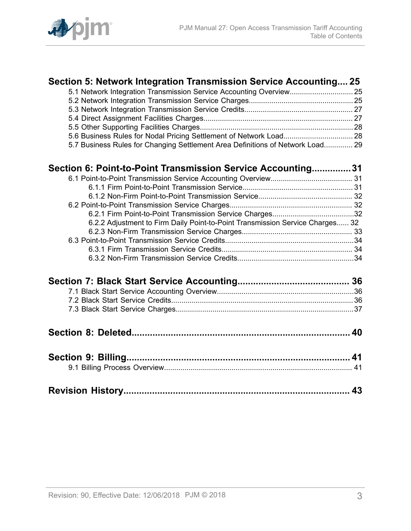

| Section 5: Network Integration Transmission Service Accounting 25              |  |
|--------------------------------------------------------------------------------|--|
|                                                                                |  |
|                                                                                |  |
|                                                                                |  |
|                                                                                |  |
|                                                                                |  |
|                                                                                |  |
| 5.7 Business Rules for Changing Settlement Area Definitions of Network Load 29 |  |
| Section 6: Point-to-Point Transmission Service Accounting31                    |  |
|                                                                                |  |
|                                                                                |  |
|                                                                                |  |
|                                                                                |  |
|                                                                                |  |
| 6.2.2 Adjustment to Firm Daily Point-to-Point Transmission Service Charges 32  |  |
|                                                                                |  |
|                                                                                |  |
|                                                                                |  |
|                                                                                |  |
|                                                                                |  |
|                                                                                |  |
|                                                                                |  |
|                                                                                |  |
|                                                                                |  |
|                                                                                |  |
|                                                                                |  |
|                                                                                |  |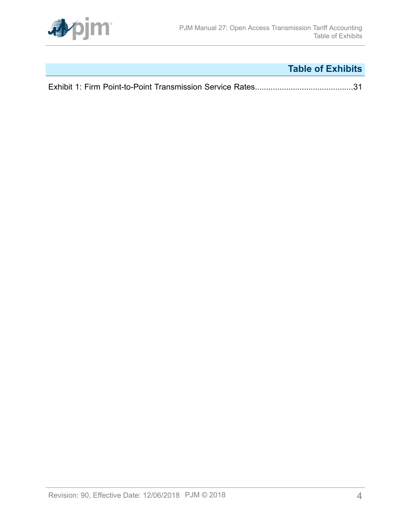

# **Table of Exhibits**

<span id="page-3-0"></span>

|--|--|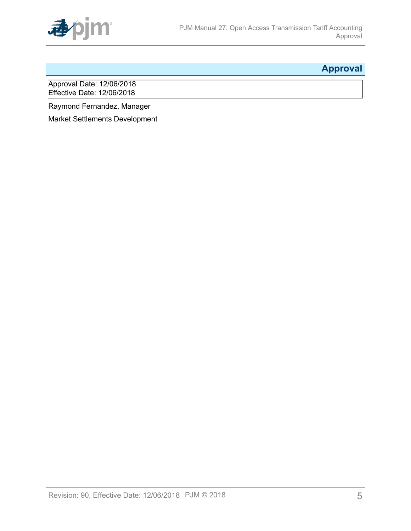

# <span id="page-4-0"></span>**Approval**

Approval Date: 12/06/2018 Effective Date: 12/06/2018

Raymond Fernandez, Manager

Market Settlements Development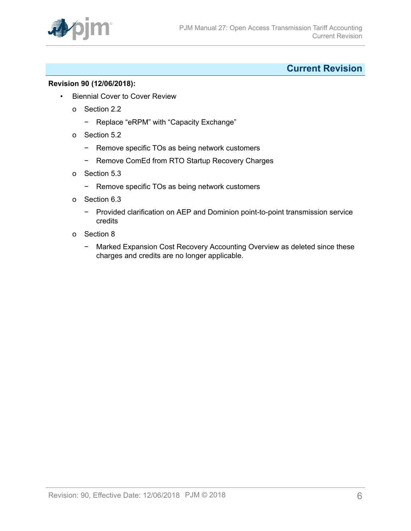

# <span id="page-5-0"></span>**Current Revision**

### **Revision 90 (12/06/2018):**

- Biennial Cover to Cover Review
	- o Section 2.2
		- − Replace "eRPM" with "Capacity Exchange"
	- o Section 5.2
		- − Remove specific TOs as being network customers
		- − Remove ComEd from RTO Startup Recovery Charges
	- o Section 5.3
		- − Remove specific TOs as being network customers
	- o Section 6.3
		- − Provided clarification on AEP and Dominion point-to-point transmission service credits
	- o Section 8
		- − Marked Expansion Cost Recovery Accounting Overview as deleted since these charges and credits are no longer applicable.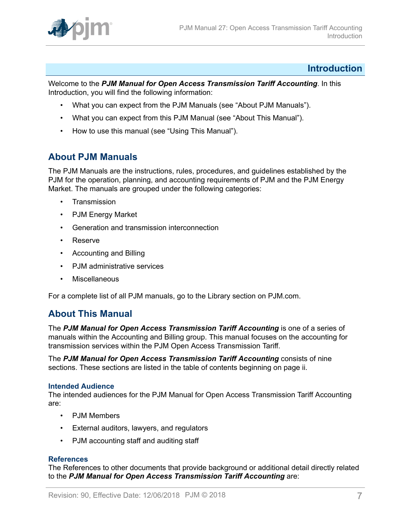

# <span id="page-6-0"></span>**Introduction**

Welcome to the *PJM Manual for Open Access Transmission Tariff Accounting*. In this Introduction, you will find the following information:

- What you can expect from the PJM Manuals (see "About PJM Manuals").
- What you can expect from this PJM Manual (see "About This Manual").
- How to use this manual (see "Using This Manual").

# <span id="page-6-1"></span>**About PJM Manuals**

The PJM Manuals are the instructions, rules, procedures, and guidelines established by the PJM for the operation, planning, and accounting requirements of PJM and the PJM Energy Market. The manuals are grouped under the following categories:

- **Transmission**
- PJM Energy Market
- Generation and transmission interconnection
- Reserve
- Accounting and Billing
- PJM administrative services
- Miscellaneous

For a complete list of all PJM manuals, go to the Library section on PJM.com.

# <span id="page-6-2"></span>**About This Manual**

The *PJM Manual for Open Access Transmission Tariff Accounting* is one of a series of manuals within the Accounting and Billing group. This manual focuses on the accounting for transmission services within the PJM Open Access Transmission Tariff.

The *PJM Manual for Open Access Transmission Tariff Accounting* consists of nine sections. These sections are listed in the table of contents beginning on page ii.

#### **Intended Audience**

The intended audiences for the PJM Manual for Open Access Transmission Tariff Accounting are:

- PJM Members
- External auditors, lawyers, and regulators
- PJM accounting staff and auditing staff

#### **References**

The References to other documents that provide background or additional detail directly related to the *PJM Manual for Open Access Transmission Tariff Accounting* are: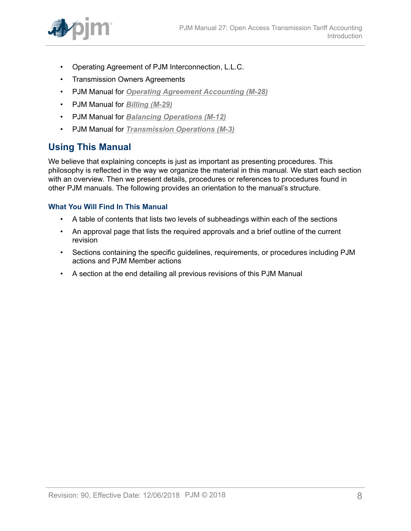

- Operating Agreement of PJM Interconnection, L.L.C.
- Transmission Owners Agreements
- PJM Manual for *[Operating Agreement Accounting \(M-28\)](http://www.pjm.com/~/media/documents/manuals/m28.ashx)*
- PJM Manual for *[Billing \(M-29\)](http://www.pjm.com/~/media/documents/manuals/m29.ashx)*
- PJM Manual for *[Balancing Operations \(M-12\)](http://www.pjm.com/~/media/documents/manuals/m12.ashx)*
- PJM Manual for *[Transmission](http://www.pjm.com/~/media/documents/manuals/m03.ashx) Operations (M-3)*

# <span id="page-7-0"></span>**Using This Manual**

We believe that explaining concepts is just as important as presenting procedures. This philosophy is reflected in the way we organize the material in this manual. We start each section with an overview. Then we present details, procedures or references to procedures found in other PJM manuals. The following provides an orientation to the manual's structure.

# **What You Will Find In This Manual**

- A table of contents that lists two levels of subheadings within each of the sections
- An approval page that lists the required approvals and a brief outline of the current revision
- Sections containing the specific guidelines, requirements, or procedures including PJM actions and PJM Member actions
- A section at the end detailing all previous revisions of this PJM Manual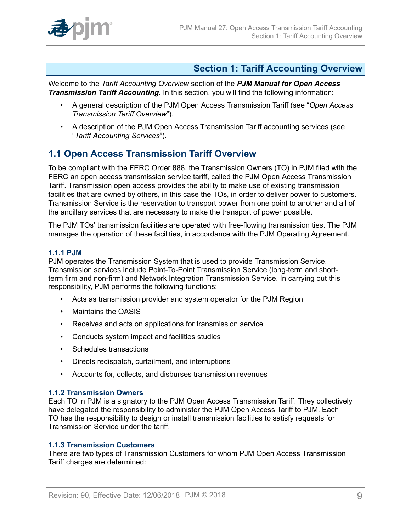

# <span id="page-8-0"></span>**Section 1: Tariff Accounting Overview**

Welcome to the *Tariff Accounting Overview* section of the *PJM Manual for Open Access Transmission Tariff Accounting*. In this section, you will find the following information:

- A general description of the PJM Open Access Transmission Tariff (see "*Open Access Transmission Tariff Overview*").
- A description of the PJM Open Access Transmission Tariff accounting services (see "*Tariff Accounting Services*").

# <span id="page-8-1"></span>**1.1 Open Access Transmission Tariff Overview**

To be compliant with the FERC Order 888, the Transmission Owners (TO) in PJM filed with the FERC an open access transmission service tariff, called the PJM Open Access Transmission Tariff. Transmission open access provides the ability to make use of existing transmission facilities that are owned by others, in this case the TOs, in order to deliver power to customers. Transmission Service is the reservation to transport power from one point to another and all of the ancillary services that are necessary to make the transport of power possible.

The PJM TOs' transmission facilities are operated with free-flowing transmission ties. The PJM manages the operation of these facilities, in accordance with the PJM Operating Agreement.

### <span id="page-8-2"></span>**1.1.1 PJM**

PJM operates the Transmission System that is used to provide Transmission Service. Transmission services include Point-To-Point Transmission Service (long-term and shortterm firm and non-firm) and Network Integration Transmission Service. In carrying out this responsibility, PJM performs the following functions:

- Acts as transmission provider and system operator for the PJM Region
- Maintains the OASIS
- Receives and acts on applications for transmission service
- Conducts system impact and facilities studies
- Schedules transactions
- Directs redispatch, curtailment, and interruptions
- Accounts for, collects, and disburses transmission revenues

#### <span id="page-8-3"></span>**1.1.2 Transmission Owners**

Each TO in PJM is a signatory to the PJM Open Access Transmission Tariff. They collectively have delegated the responsibility to administer the PJM Open Access Tariff to PJM. Each TO has the responsibility to design or install transmission facilities to satisfy requests for Transmission Service under the tariff.

# <span id="page-8-4"></span>**1.1.3 Transmission Customers**

There are two types of Transmission Customers for whom PJM Open Access Transmission Tariff charges are determined: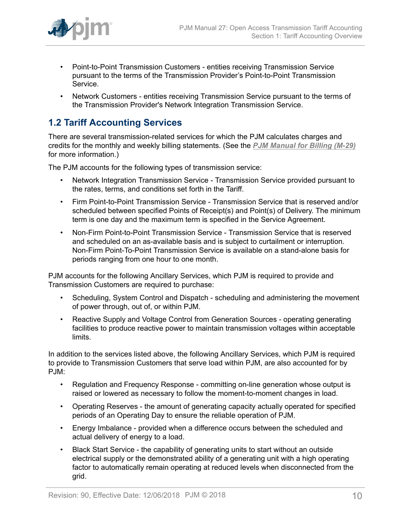

- Point-to-Point Transmission Customers entities receiving Transmission Service pursuant to the terms of the Transmission Provider's Point-to-Point Transmission Service.
- Network Customers entities receiving Transmission Service pursuant to the terms of the Transmission Provider's Network Integration Transmission Service.

# <span id="page-9-0"></span>**1.2 Tariff Accounting Services**

There are several transmission-related services for which the PJM calculates charges and credits for the monthly and weekly billing statements. (See the *[PJM Manual for Billing \(M-29\)](http://www.pjm.com/~/media/documents/manuals/m29.ashx)* for more information.)

The PJM accounts for the following types of transmission service:

- Network Integration Transmission Service Transmission Service provided pursuant to the rates, terms, and conditions set forth in the Tariff.
- Firm Point-to-Point Transmission Service Transmission Service that is reserved and/or scheduled between specified Points of Receipt(s) and Point(s) of Delivery. The minimum term is one day and the maximum term is specified in the Service Agreement.
- Non-Firm Point-to-Point Transmission Service Transmission Service that is reserved and scheduled on an as-available basis and is subject to curtailment or interruption. Non-Firm Point-To-Point Transmission Service is available on a stand-alone basis for periods ranging from one hour to one month.

PJM accounts for the following Ancillary Services, which PJM is required to provide and Transmission Customers are required to purchase:

- Scheduling, System Control and Dispatch scheduling and administering the movement of power through, out of, or within PJM.
- Reactive Supply and Voltage Control from Generation Sources operating generating facilities to produce reactive power to maintain transmission voltages within acceptable limits.

In addition to the services listed above, the following Ancillary Services, which PJM is required to provide to Transmission Customers that serve load within PJM, are also accounted for by PJM:

- Regulation and Frequency Response committing on-line generation whose output is raised or lowered as necessary to follow the moment-to-moment changes in load.
- Operating Reserves the amount of generating capacity actually operated for specified periods of an Operating Day to ensure the reliable operation of PJM.
- Energy Imbalance provided when a difference occurs between the scheduled and actual delivery of energy to a load.
- Black Start Service the capability of generating units to start without an outside electrical supply or the demonstrated ability of a generating unit with a high operating factor to automatically remain operating at reduced levels when disconnected from the grid.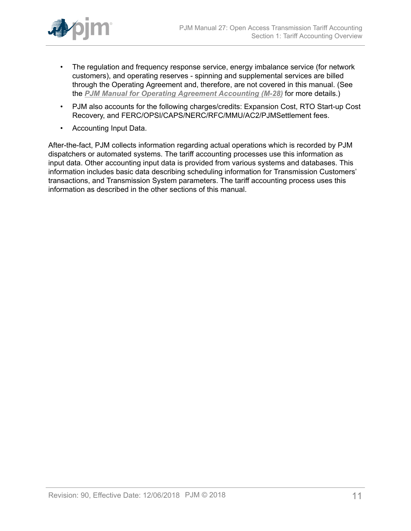

- The regulation and frequency response service, energy imbalance service (for network customers), and operating reserves - spinning and supplemental services are billed through the Operating Agreement and, therefore, are not covered in this manual. (See the *[PJM Manual for Operating Agreement Accounting \(M-28\)](http://www.pjm.com/~/media/documents/manuals/m28.ashx)* for more details.)
- PJM also accounts for the following charges/credits: Expansion Cost, RTO Start-up Cost Recovery, and FERC/OPSI/CAPS/NERC/RFC/MMU/AC2/PJMSettlement fees.
- Accounting Input Data.

After-the-fact, PJM collects information regarding actual operations which is recorded by PJM dispatchers or automated systems. The tariff accounting processes use this information as input data. Other accounting input data is provided from various systems and databases. This information includes basic data describing scheduling information for Transmission Customers' transactions, and Transmission System parameters. The tariff accounting process uses this information as described in the other sections of this manual.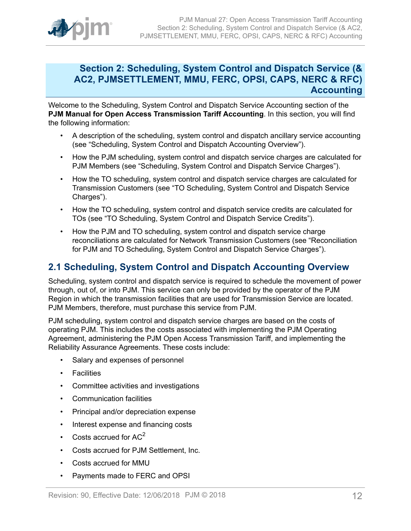

# <span id="page-11-0"></span>**Section 2: Scheduling, System Control and Dispatch Service (& AC2, PJMSETTLEMENT, MMU, FERC, OPSI, CAPS, NERC & RFC) Accounting**

Welcome to the Scheduling, System Control and Dispatch Service Accounting section of the **PJM Manual for Open Access Transmission Tariff Accounting**. In this section, you will find the following information:

- A description of the scheduling, system control and dispatch ancillary service accounting (see "Scheduling, System Control and Dispatch Accounting Overview").
- How the PJM scheduling, system control and dispatch service charges are calculated for PJM Members (see "Scheduling, System Control and Dispatch Service Charges").
- How the TO scheduling, system control and dispatch service charges are calculated for Transmission Customers (see "TO Scheduling, System Control and Dispatch Service Charges").
- How the TO scheduling, system control and dispatch service credits are calculated for TOs (see "TO Scheduling, System Control and Dispatch Service Credits").
- How the PJM and TO scheduling, system control and dispatch service charge reconciliations are calculated for Network Transmission Customers (see "Reconciliation for PJM and TO Scheduling, System Control and Dispatch Service Charges").

# <span id="page-11-1"></span>**2.1 Scheduling, System Control and Dispatch Accounting Overview**

Scheduling, system control and dispatch service is required to schedule the movement of power through, out of, or into PJM. This service can only be provided by the operator of the PJM Region in which the transmission facilities that are used for Transmission Service are located. PJM Members, therefore, must purchase this service from PJM.

PJM scheduling, system control and dispatch service charges are based on the costs of operating PJM. This includes the costs associated with implementing the PJM Operating Agreement, administering the PJM Open Access Transmission Tariff, and implementing the Reliability Assurance Agreements. These costs include:

- Salary and expenses of personnel
- Facilities
- Committee activities and investigations
- Communication facilities
- Principal and/or depreciation expense
- Interest expense and financing costs
- Costs accrued for  $AC<sup>2</sup>$
- Costs accrued for PJM Settlement, Inc.
- Costs accrued for MMU
- Payments made to FERC and OPSI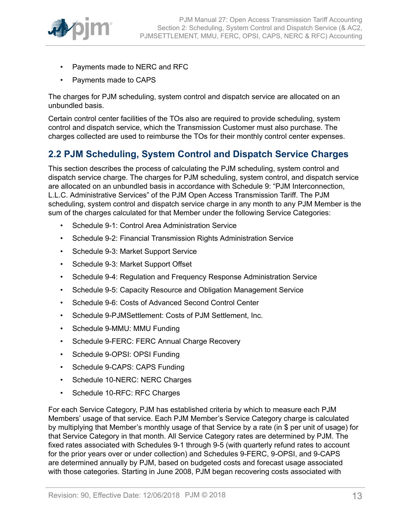

- Payments made to NERC and RFC
- Payments made to CAPS

The charges for PJM scheduling, system control and dispatch service are allocated on an unbundled basis.

Certain control center facilities of the TOs also are required to provide scheduling, system control and dispatch service, which the Transmission Customer must also purchase. The charges collected are used to reimburse the TOs for their monthly control center expenses.

# <span id="page-12-0"></span>**2.2 PJM Scheduling, System Control and Dispatch Service Charges**

This section describes the process of calculating the PJM scheduling, system control and dispatch service charge. The charges for PJM scheduling, system control, and dispatch service are allocated on an unbundled basis in accordance with Schedule 9: "PJM Interconnection, L.L.C. Administrative Services" of the PJM Open Access Transmission Tariff. The PJM scheduling, system control and dispatch service charge in any month to any PJM Member is the sum of the charges calculated for that Member under the following Service Categories:

- Schedule 9-1: Control Area Administration Service
- Schedule 9-2: Financial Transmission Rights Administration Service
- Schedule 9-3: Market Support Service
- Schedule 9-3: Market Support Offset
- Schedule 9-4: Regulation and Frequency Response Administration Service
- Schedule 9-5: Capacity Resource and Obligation Management Service
- Schedule 9-6: Costs of Advanced Second Control Center
- Schedule 9-PJMSettlement: Costs of PJM Settlement, Inc.
- Schedule 9-MMU: MMU Funding
- Schedule 9-FERC: FERC Annual Charge Recovery
- Schedule 9-OPSI: OPSI Funding
- Schedule 9-CAPS: CAPS Funding
- Schedule 10-NERC: NERC Charges
- Schedule 10-RFC: RFC Charges

For each Service Category, PJM has established criteria by which to measure each PJM Members' usage of that service. Each PJM Member's Service Category charge is calculated by multiplying that Member's monthly usage of that Service by a rate (in \$ per unit of usage) for that Service Category in that month. All Service Category rates are determined by PJM. The fixed rates associated with Schedules 9-1 through 9-5 (with quarterly refund rates to account for the prior years over or under collection) and Schedules 9-FERC, 9-OPSI, and 9-CAPS are determined annually by PJM, based on budgeted costs and forecast usage associated with those categories. Starting in June 2008, PJM began recovering costs associated with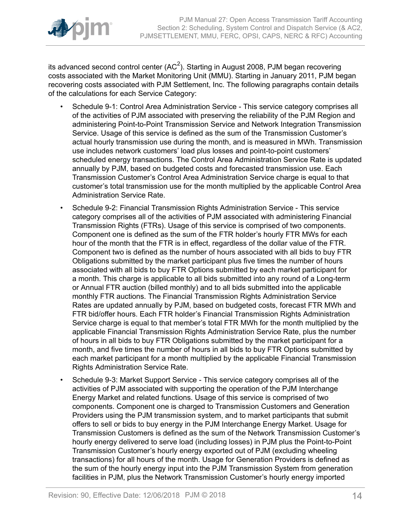

its advanced second control center (AC<sup>2</sup>). Starting in August 2008, PJM began recovering costs associated with the Market Monitoring Unit (MMU). Starting in January 2011, PJM began recovering costs associated with PJM Settlement, Inc. The following paragraphs contain details of the calculations for each Service Category:

- Schedule 9-1: Control Area Administration Service This service category comprises all of the activities of PJM associated with preserving the reliability of the PJM Region and administering Point-to-Point Transmission Service and Network Integration Transmission Service. Usage of this service is defined as the sum of the Transmission Customer's actual hourly transmission use during the month, and is measured in MWh. Transmission use includes network customers' load plus losses and point-to-point customers' scheduled energy transactions. The Control Area Administration Service Rate is updated annually by PJM, based on budgeted costs and forecasted transmission use. Each Transmission Customer's Control Area Administration Service charge is equal to that customer's total transmission use for the month multiplied by the applicable Control Area Administration Service Rate.
- Schedule 9-2: Financial Transmission Rights Administration Service This service category comprises all of the activities of PJM associated with administering Financial Transmission Rights (FTRs). Usage of this service is comprised of two components. Component one is defined as the sum of the FTR holder's hourly FTR MWs for each hour of the month that the FTR is in effect, regardless of the dollar value of the FTR. Component two is defined as the number of hours associated with all bids to buy FTR Obligations submitted by the market participant plus five times the number of hours associated with all bids to buy FTR Options submitted by each market participant for a month. This charge is applicable to all bids submitted into any round of a Long-term or Annual FTR auction (billed monthly) and to all bids submitted into the applicable monthly FTR auctions. The Financial Transmission Rights Administration Service Rates are updated annually by PJM, based on budgeted costs, forecast FTR MWh and FTR bid/offer hours. Each FTR holder's Financial Transmission Rights Administration Service charge is equal to that member's total FTR MWh for the month multiplied by the applicable Financial Transmission Rights Administration Service Rate, plus the number of hours in all bids to buy FTR Obligations submitted by the market participant for a month, and five times the number of hours in all bids to buy FTR Options submitted by each market participant for a month multiplied by the applicable Financial Transmission Rights Administration Service Rate.
- Schedule 9-3: Market Support Service This service category comprises all of the activities of PJM associated with supporting the operation of the PJM Interchange Energy Market and related functions. Usage of this service is comprised of two components. Component one is charged to Transmission Customers and Generation Providers using the PJM transmission system, and to market participants that submit offers to sell or bids to buy energy in the PJM Interchange Energy Market. Usage for Transmission Customers is defined as the sum of the Network Transmission Customer's hourly energy delivered to serve load (including losses) in PJM plus the Point-to-Point Transmission Customer's hourly energy exported out of PJM (excluding wheeling transactions) for all hours of the month. Usage for Generation Providers is defined as the sum of the hourly energy input into the PJM Transmission System from generation facilities in PJM, plus the Network Transmission Customer's hourly energy imported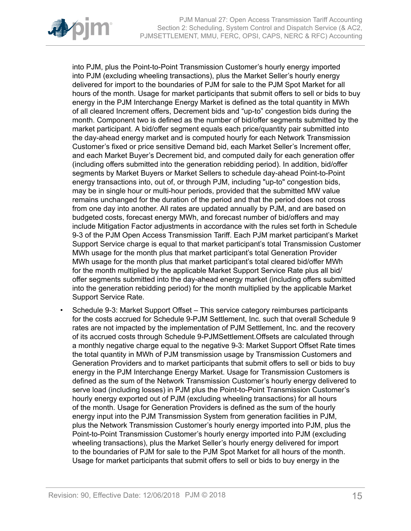

into PJM, plus the Point-to-Point Transmission Customer's hourly energy imported into PJM (excluding wheeling transactions), plus the Market Seller's hourly energy delivered for import to the boundaries of PJM for sale to the PJM Spot Market for all hours of the month. Usage for market participants that submit offers to sell or bids to buy energy in the PJM Interchange Energy Market is defined as the total quantity in MWh of all cleared Increment offers, Decrement bids and "up-to" congestion bids during the month. Component two is defined as the number of bid/offer segments submitted by the market participant. A bid/offer segment equals each price/quantity pair submitted into the day-ahead energy market and is computed hourly for each Network Transmission Customer's fixed or price sensitive Demand bid, each Market Seller's Increment offer, and each Market Buyer's Decrement bid, and computed daily for each generation offer (including offers submitted into the generation rebidding period). In addition, bid/offer segments by Market Buyers or Market Sellers to schedule day-ahead Point-to-Point energy transactions into, out of, or through PJM, including "up-to" congestion bids, may be in single hour or multi-hour periods, provided that the submitted MW value remains unchanged for the duration of the period and that the period does not cross from one day into another. All rates are updated annually by PJM, and are based on budgeted costs, forecast energy MWh, and forecast number of bid/offers and may include Mitigation Factor adjustments in accordance with the rules set forth in Schedule 9-3 of the PJM Open Access Transmission Tariff. Each PJM market participant's Market Support Service charge is equal to that market participant's total Transmission Customer MWh usage for the month plus that market participant's total Generation Provider MWh usage for the month plus that market participant's total cleared bid/offer MWh for the month multiplied by the applicable Market Support Service Rate plus all bid/ offer segments submitted into the day-ahead energy market (including offers submitted into the generation rebidding period) for the month multiplied by the applicable Market Support Service Rate.

• Schedule 9-3: Market Support Offset *–* This service category reimburses participants for the costs accrued for Schedule 9-PJM Settlement, Inc. such that overall Schedule 9 rates are not impacted by the implementation of PJM Settlement, Inc. and the recovery of its accrued costs through Schedule 9-PJMSettlement.Offsets are calculated through a monthly negative charge equal to the negative 9-3: Market Support Offset Rate times the total quantity in MWh of PJM transmission usage by Transmission Customers and Generation Providers and to market participants that submit offers to sell or bids to buy energy in the PJM Interchange Energy Market. Usage for Transmission Customers is defined as the sum of the Network Transmission Customer's hourly energy delivered to serve load (including losses) in PJM plus the Point-to-Point Transmission Customer's hourly energy exported out of PJM (excluding wheeling transactions) for all hours of the month. Usage for Generation Providers is defined as the sum of the hourly energy input into the PJM Transmission System from generation facilities in PJM, plus the Network Transmission Customer's hourly energy imported into PJM, plus the Point-to-Point Transmission Customer's hourly energy imported into PJM (excluding wheeling transactions), plus the Market Seller's hourly energy delivered for import to the boundaries of PJM for sale to the PJM Spot Market for all hours of the month. Usage for market participants that submit offers to sell or bids to buy energy in the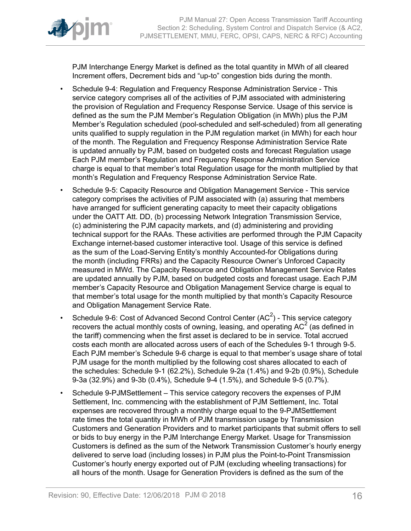

PJM Interchange Energy Market is defined as the total quantity in MWh of all cleared Increment offers, Decrement bids and "up-to" congestion bids during the month.

- Schedule 9-4: Regulation and Frequency Response Administration Service This service category comprises all of the activities of PJM associated with administering the provision of Regulation and Frequency Response Service. Usage of this service is defined as the sum the PJM Member's Regulation Obligation (in MWh) plus the PJM Member's Regulation scheduled (pool-scheduled and self-scheduled) from all generating units qualified to supply regulation in the PJM regulation market (in MWh) for each hour of the month. The Regulation and Frequency Response Administration Service Rate is updated annually by PJM, based on budgeted costs and forecast Regulation usage Each PJM member's Regulation and Frequency Response Administration Service charge is equal to that member's total Regulation usage for the month multiplied by that month's Regulation and Frequency Response Administration Service Rate.
- Schedule 9-5: Capacity Resource and Obligation Management Service This service category comprises the activities of PJM associated with (a) assuring that members have arranged for sufficient generating capacity to meet their capacity obligations under the OATT Att. DD, (b) processing Network Integration Transmission Service, (c) administering the PJM capacity markets, and (d) administering and providing technical support for the RAAs. These activities are performed through the PJM Capacity Exchange internet-based customer interactive tool. Usage of this service is defined as the sum of the Load-Serving Entity's monthly Accounted-for Obligations during the month (including FRRs) and the Capacity Resource Owner's Unforced Capacity measured in MWd. The Capacity Resource and Obligation Management Service Rates are updated annually by PJM, based on budgeted costs and forecast usage. Each PJM member's Capacity Resource and Obligation Management Service charge is equal to that member's total usage for the month multiplied by that month's Capacity Resource and Obligation Management Service Rate.
- Schedule 9-6: Cost of Advanced Second Control Center (AC<sup>2</sup>) This service category recovers the actual monthly costs of owning, leasing, and operating AC<sup>2</sup> (as defined in the tariff) commencing when the first asset is declared to be in service. Total accrued costs each month are allocated across users of each of the Schedules 9-1 through 9-5. Each PJM member's Schedule 9-6 charge is equal to that member's usage share of total PJM usage for the month multiplied by the following cost shares allocated to each of the schedules: Schedule 9-1 (62.2%), Schedule 9-2a (1.4%) and 9-2b (0.9%), Schedule 9-3a (32.9%) and 9-3b (0.4%), Schedule 9-4 (1.5%), and Schedule 9-5 (0.7%).
- Schedule 9-PJMSettlementThis service category recovers the expenses of PJM Settlement, Inc. commencing with the establishment of PJM Settlement, Inc. Total expenses are recovered through a monthly charge equal to the 9-PJMSettlement rate times the total quantity in MWh of PJM transmission usage by Transmission Customers and Generation Providers and to market participants that submit offers to sell or bids to buy energy in the PJM Interchange Energy Market. Usage for Transmission Customers is defined as the sum of the Network Transmission Customer's hourly energy delivered to serve load (including losses) in PJM plus the Point-to-Point Transmission Customer's hourly energy exported out of PJM (excluding wheeling transactions) for all hours of the month. Usage for Generation Providers is defined as the sum of the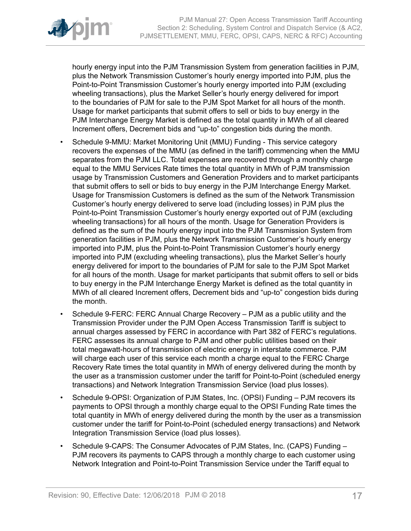

hourly energy input into the PJM Transmission System from generation facilities in PJM, plus the Network Transmission Customer's hourly energy imported into PJM, plus the Point-to-Point Transmission Customer's hourly energy imported into PJM (excluding wheeling transactions), plus the Market Seller's hourly energy delivered for import to the boundaries of PJM for sale to the PJM Spot Market for all hours of the month. Usage for market participants that submit offers to sell or bids to buy energy in the PJM Interchange Energy Market is defined as the total quantity in MWh of all cleared Increment offers, Decrement bids and "up-to" congestion bids during the month.

- Schedule 9-MMU: Market Monitoring Unit (MMU) Funding This service category recovers the expenses of the MMU (as defined in the tariff) commencing when the MMU separates from the PJM LLC. Total expenses are recovered through a monthly charge equal to the MMU Services Rate times the total quantity in MWh of PJM transmission usage by Transmission Customers and Generation Providers and to market participants that submit offers to sell or bids to buy energy in the PJM Interchange Energy Market. Usage for Transmission Customers is defined as the sum of the Network Transmission Customer's hourly energy delivered to serve load (including losses) in PJM plus the Point-to-Point Transmission Customer's hourly energy exported out of PJM (excluding wheeling transactions) for all hours of the month. Usage for Generation Providers is defined as the sum of the hourly energy input into the PJM Transmission System from generation facilities in PJM, plus the Network Transmission Customer's hourly energy imported into PJM, plus the Point-to-Point Transmission Customer's hourly energy imported into PJM (excluding wheeling transactions), plus the Market Seller's hourly energy delivered for import to the boundaries of PJM for sale to the PJM Spot Market for all hours of the month. Usage for market participants that submit offers to sell or bids to buy energy in the PJM Interchange Energy Market is defined as the total quantity in MWh of all cleared Increment offers, Decrement bids and "up-to" congestion bids during the month.
- Schedule 9-FERC: FERC Annual Charge Recovery PJM as a public utility and the Transmission Provider under the PJM Open Access Transmission Tariff is subject to annual charges assessed by FERC in accordance with Part 382 of FERC's regulations. FERC assesses its annual charge to PJM and other public utilities based on their total megawatt-hours of transmission of electric energy in interstate commerce. PJM will charge each user of this service each month a charge equal to the FERC Charge Recovery Rate times the total quantity in MWh of energy delivered during the month by the user as a transmission customer under the tariff for Point-to-Point (scheduled energy transactions) and Network Integration Transmission Service (load plus losses).
- Schedule 9-OPSI: Organization of PJM States, Inc. (OPSI) Funding PJM recovers its payments to OPSI through a monthly charge equal to the OPSI Funding Rate times the total quantity in MWh of energy delivered during the month by the user as a transmission customer under the tariff for Point-to-Point (scheduled energy transactions) and Network Integration Transmission Service (load plus losses).
- Schedule 9-CAPS: The Consumer Advocates of PJM States, Inc. (CAPS) Funding PJM recovers its payments to CAPS through a monthly charge to each customer using Network Integration and Point-to-Point Transmission Service under the Tariff equal to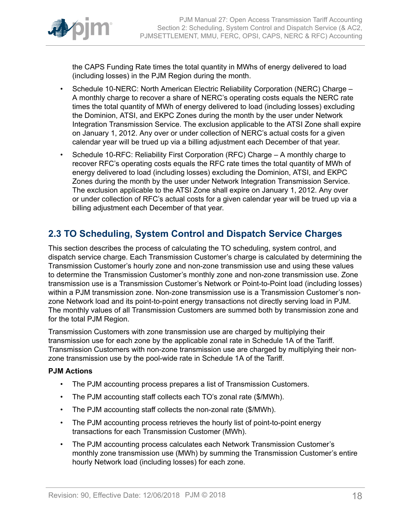

the CAPS Funding Rate times the total quantity in MWhs of energy delivered to load (including losses) in the PJM Region during the month.

- Schedule 10-NERC: North American Electric Reliability Corporation (NERC) Charge A monthly charge to recover a share of NERC's operating costs equals the NERC rate times the total quantity of MWh of energy delivered to load (including losses) excluding the Dominion, ATSI, and EKPC Zones during the month by the user under Network Integration Transmission Service. The exclusion applicable to the ATSI Zone shall expire on January 1, 2012. Any over or under collection of NERC's actual costs for a given calendar year will be trued up via a billing adjustment each December of that year.
- Schedule 10-RFC: Reliability First Corporation (RFC) Charge A monthly charge to recover RFC's operating costs equals the RFC rate times the total quantity of MWh of energy delivered to load (including losses) excluding the Dominion, ATSI, and EKPC Zones during the month by the user under Network Integration Transmission Service. The exclusion applicable to the ATSI Zone shall expire on January 1, 2012. Any over or under collection of RFC's actual costs for a given calendar year will be trued up via a billing adjustment each December of that year.

# <span id="page-17-0"></span>**2.3 TO Scheduling, System Control and Dispatch Service Charges**

This section describes the process of calculating the TO scheduling, system control, and dispatch service charge. Each Transmission Customer's charge is calculated by determining the Transmission Customer's hourly zone and non-zone transmission use and using these values to determine the Transmission Customer's monthly zone and non-zone transmission use. Zone transmission use is a Transmission Customer's Network or Point-to-Point load (including losses) within a PJM transmission zone. Non-zone transmission use is a Transmission Customer's nonzone Network load and its point-to-point energy transactions not directly serving load in PJM. The monthly values of all Transmission Customers are summed both by transmission zone and for the total PJM Region.

Transmission Customers with zone transmission use are charged by multiplying their transmission use for each zone by the applicable zonal rate in Schedule 1A of the Tariff. Transmission Customers with non-zone transmission use are charged by multiplying their nonzone transmission use by the pool-wide rate in Schedule 1A of the Tariff.

# **PJM Actions**

- The PJM accounting process prepares a list of Transmission Customers.
- The PJM accounting staff collects each TO's zonal rate (\$/MWh).
- The PJM accounting staff collects the non-zonal rate (\$/MWh).
- The PJM accounting process retrieves the hourly list of point-to-point energy transactions for each Transmission Customer (MWh).
- The PJM accounting process calculates each Network Transmission Customer's monthly zone transmission use (MWh) by summing the Transmission Customer's entire hourly Network load (including losses) for each zone.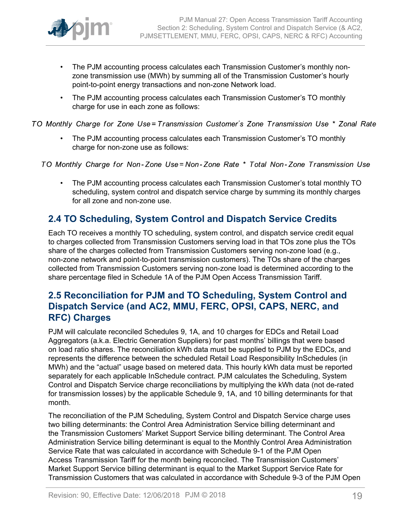

- The PJM accounting process calculates each Transmission Customer's monthly nonzone transmission use (MWh) by summing all of the Transmission Customer's hourly point-to-point energy transactions and non-zone Network load.
- The PJM accounting process calculates each Transmission Customer's TO monthly charge for use in each zone as follows:

TO Monthly Charge for Zone Use=Transmission Customer's Zone Transmission Use \* Zonal Rate

• The PJM accounting process calculates each Transmission Customer's TO monthly charge for non-zone use as follows:

TO Monthly Charge for Non-Zone Use=Non-Zone Rate \* Total Non-Zone Transmission Use

• The PJM accounting process calculates each Transmission Customer's total monthly TO scheduling, system control and dispatch service charge by summing its monthly charges for all zone and non-zone use.

# <span id="page-18-0"></span>**2.4 TO Scheduling, System Control and Dispatch Service Credits**

Each TO receives a monthly TO scheduling, system control, and dispatch service credit equal to charges collected from Transmission Customers serving load in that TOs zone plus the TOs share of the charges collected from Transmission Customers serving non-zone load (e.g., non-zone network and point-to-point transmission customers). The TOs share of the charges collected from Transmission Customers serving non-zone load is determined according to the share percentage filed in Schedule 1A of the PJM Open Access Transmission Tariff.

# <span id="page-18-1"></span>**2.5 Reconciliation for PJM and TO Scheduling, System Control and Dispatch Service (and AC2, MMU, FERC, OPSI, CAPS, NERC, and RFC) Charges**

PJM will calculate reconciled Schedules 9, 1A, and 10 charges for EDCs and Retail Load Aggregators (a.k.a. Electric Generation Suppliers) for past months' billings that were based on load ratio shares. The reconciliation kWh data must be supplied to PJM by the EDCs, and represents the difference between the scheduled Retail Load Responsibility InSchedules (in MWh) and the "actual" usage based on metered data. This hourly kWh data must be reported separately for each applicable InSchedule contract. PJM calculates the Scheduling, System Control and Dispatch Service charge reconciliations by multiplying the kWh data (not de-rated for transmission losses) by the applicable Schedule 9, 1A, and 10 billing determinants for that month.

The reconciliation of the PJM Scheduling, System Control and Dispatch Service charge uses two billing determinants: the Control Area Administration Service billing determinant and the Transmission Customers' Market Support Service billing determinant. The Control Area Administration Service billing determinant is equal to the Monthly Control Area Administration Service Rate that was calculated in accordance with Schedule 9-1 of the PJM Open Access Transmission Tariff for the month being reconciled. The Transmission Customers' Market Support Service billing determinant is equal to the Market Support Service Rate for Transmission Customers that was calculated in accordance with Schedule 9-3 of the PJM Open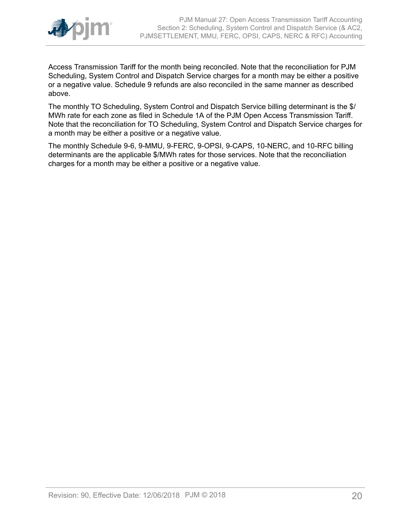

Access Transmission Tariff for the month being reconciled. Note that the reconciliation for PJM Scheduling, System Control and Dispatch Service charges for a month may be either a positive or a negative value. Schedule 9 refunds are also reconciled in the same manner as described above.

The monthly TO Scheduling, System Control and Dispatch Service billing determinant is the \$/ MWh rate for each zone as filed in Schedule 1A of the PJM Open Access Transmission Tariff. Note that the reconciliation for TO Scheduling, System Control and Dispatch Service charges for a month may be either a positive or a negative value.

The monthly Schedule 9-6, 9-MMU, 9-FERC, 9-OPSI, 9-CAPS, 10-NERC, and 10-RFC billing determinants are the applicable \$/MWh rates for those services. Note that the reconciliation charges for a month may be either a positive or a negative value.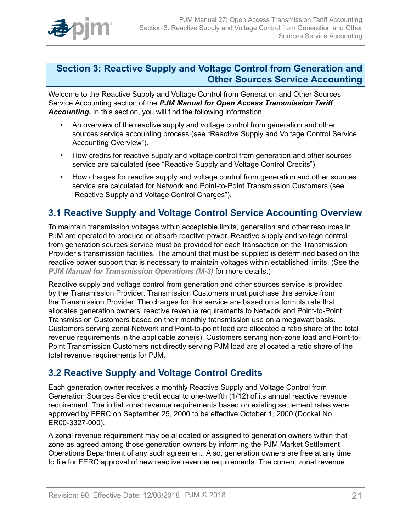

# <span id="page-20-0"></span>**Section 3: Reactive Supply and Voltage Control from Generation and Other Sources Service Accounting**

Welcome to the Reactive Supply and Voltage Control from Generation and Other Sources Service Accounting section of the *PJM Manual for Open Access Transmission Tariff Accounting.* In this section, you will find the following information:

- An overview of the reactive supply and voltage control from generation and other sources service accounting process (see "Reactive Supply and Voltage Control Service Accounting Overview").
- How credits for reactive supply and voltage control from generation and other sources service are calculated (see "Reactive Supply and Voltage Control Credits").
- How charges for reactive supply and voltage control from generation and other sources service are calculated for Network and Point-to-Point Transmission Customers (see "Reactive Supply and Voltage Control Charges").

# <span id="page-20-1"></span>**3.1 Reactive Supply and Voltage Control Service Accounting Overview**

To maintain transmission voltages within acceptable limits, generation and other resources in PJM are operated to produce or absorb reactive power. Reactive supply and voltage control from generation sources service must be provided for each transaction on the Transmission Provider's transmission facilities. The amount that must be supplied is determined based on the reactive power support that is necessary to maintain voltages within established limits. (See the *PJM Manual for [Transmission](http://www.pjm.com/~/media/documents/manuals/m03.ashx) Operations (M-3)* for more details.)

Reactive supply and voltage control from generation and other sources service is provided by the Transmission Provider. Transmission Customers must purchase this service from the Transmission Provider. The charges for this service are based on a formula rate that allocates generation owners' reactive revenue requirements to Network and Point-to-Point Transmission Customers based on their monthly transmission use on a megawatt basis. Customers serving zonal Network and Point-to-point load are allocated a ratio share of the total revenue requirements in the applicable zone(s). Customers serving non-zone load and Point-to-Point Transmission Customers not directly serving PJM load are allocated a ratio share of the total revenue requirements for PJM.

# <span id="page-20-2"></span>**3.2 Reactive Supply and Voltage Control Credits**

Each generation owner receives a monthly Reactive Supply and Voltage Control from Generation Sources Service credit equal to one-twelfth (1/12) of its annual reactive revenue requirement. The initial zonal revenue requirements based on existing settlement rates were approved by FERC on September 25, 2000 to be effective October 1, 2000 (Docket No. ER00-3327-000).

A zonal revenue requirement may be allocated or assigned to generation owners within that zone as agreed among those generation owners by informing the PJM Market Settlement Operations Department of any such agreement. Also, generation owners are free at any time to file for FERC approval of new reactive revenue requirements. The current zonal revenue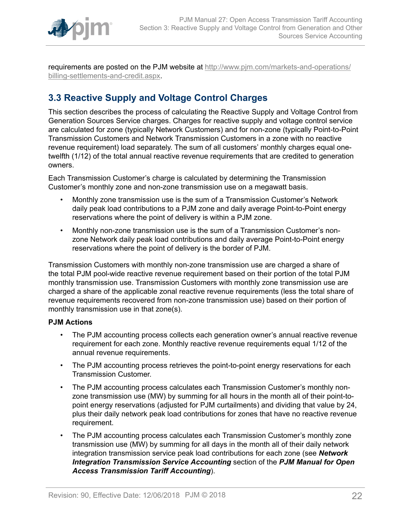

requirements are posted on the PJM website at [http://www.pjm.com/markets-and-operations/](http://www.pjm.com/markets-and-operations/billing-settlements-and-credit.aspx) [billing-settlements-and-credit.aspx.](http://www.pjm.com/markets-and-operations/billing-settlements-and-credit.aspx)

# <span id="page-21-0"></span>**3.3 Reactive Supply and Voltage Control Charges**

This section describes the process of calculating the Reactive Supply and Voltage Control from Generation Sources Service charges. Charges for reactive supply and voltage control service are calculated for zone (typically Network Customers) and for non-zone (typically Point-to-Point Transmission Customers and Network Transmission Customers in a zone with no reactive revenue requirement) load separately. The sum of all customers' monthly charges equal onetwelfth (1/12) of the total annual reactive revenue requirements that are credited to generation owners.

Each Transmission Customer's charge is calculated by determining the Transmission Customer's monthly zone and non-zone transmission use on a megawatt basis.

- Monthly zone transmission use is the sum of a Transmission Customer's Network daily peak load contributions to a PJM zone and daily average Point-to-Point energy reservations where the point of delivery is within a PJM zone.
- Monthly non-zone transmission use is the sum of a Transmission Customer's nonzone Network daily peak load contributions and daily average Point-to-Point energy reservations where the point of delivery is the border of PJM.

Transmission Customers with monthly non-zone transmission use are charged a share of the total PJM pool-wide reactive revenue requirement based on their portion of the total PJM monthly transmission use. Transmission Customers with monthly zone transmission use are charged a share of the applicable zonal reactive revenue requirements (less the total share of revenue requirements recovered from non-zone transmission use) based on their portion of monthly transmission use in that zone(s).

# **PJM Actions**

- The PJM accounting process collects each generation owner's annual reactive revenue requirement for each zone. Monthly reactive revenue requirements equal 1/12 of the annual revenue requirements.
- The PJM accounting process retrieves the point-to-point energy reservations for each Transmission Customer.
- The PJM accounting process calculates each Transmission Customer's monthly nonzone transmission use (MW) by summing for all hours in the month all of their point-topoint energy reservations (adjusted for PJM curtailments) and dividing that value by 24, plus their daily network peak load contributions for zones that have no reactive revenue requirement.
- The PJM accounting process calculates each Transmission Customer's monthly zone transmission use (MW) by summing for all days in the month all of their daily network integration transmission service peak load contributions for each zone (see *Network Integration Transmission Service Accounting* section of the *PJM Manual for Open Access Transmission Tariff Accounting*).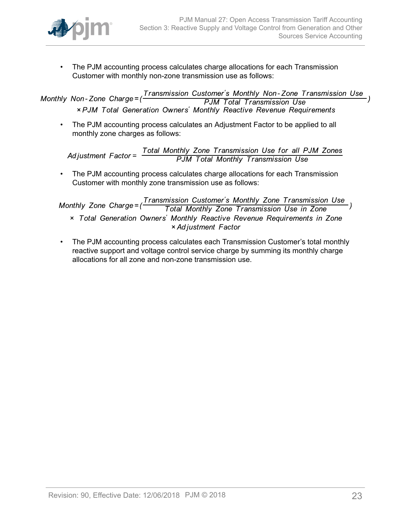

• The PJM accounting process calculates charge allocations for each Transmission Customer with monthly non-zone transmission use as follows:

Transmission Customer's Monthly Non-Zone Transmission Use Monthly Non-Zone Charge=( **PJM Total Transmission Use** × PJM Total Generation Owners' Monthly Reactive Revenue Requirements

• The PJM accounting process calculates an Adjustment Factor to be applied to all monthly zone charges as follows:

Total Monthly Zone Transmission Use for all PJM Zones<br>PJM Total Monthly Transmission Use Adjustment  $Factor =$ 

• The PJM accounting process calculates charge allocations for each Transmission Customer with monthly zone transmission use as follows:

Transmission Customer's Monthly Zone Transmission Use Monthly Zone Charge= $($ Total Monthly Zone Transmission Use in Zone x Total Generation Owners' Monthly Reactive Revenue Requirements in Zone × Adjustment Factor

• The PJM accounting process calculates each Transmission Customer's total monthly reactive support and voltage control service charge by summing its monthly charge allocations for all zone and non-zone transmission use.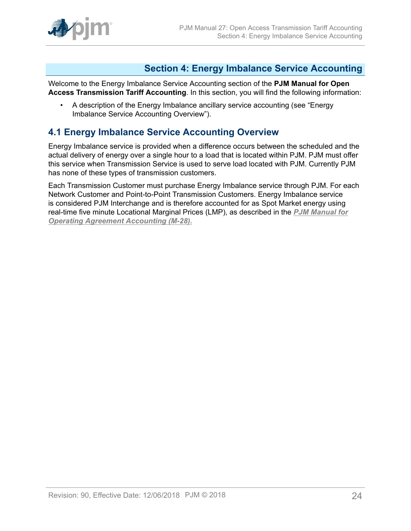

# <span id="page-23-0"></span>**Section 4: Energy Imbalance Service Accounting**

Welcome to the Energy Imbalance Service Accounting section of the **PJM Manual for Open Access Transmission Tariff Accounting**. In this section, you will find the following information:

• A description of the Energy Imbalance ancillary service accounting (see "Energy Imbalance Service Accounting Overview").

# <span id="page-23-1"></span>**4.1 Energy Imbalance Service Accounting Overview**

Energy Imbalance service is provided when a difference occurs between the scheduled and the actual delivery of energy over a single hour to a load that is located within PJM. PJM must offer this service when Transmission Service is used to serve load located with PJM. Currently PJM has none of these types of transmission customers.

Each Transmission Customer must purchase Energy Imbalance service through PJM. For each Network Customer and Point-to-Point Transmission Customers. Energy Imbalance service is considered PJM Interchange and is therefore accounted for as Spot Market energy using real-time five minute Locational Marginal Prices (LMP), as described in the *[PJM Manual for](http://www.pjm.com/~/media/documents/manuals/m28.ashx) [Operating Agreement Accounting \(M-28\).](http://www.pjm.com/~/media/documents/manuals/m28.ashx)*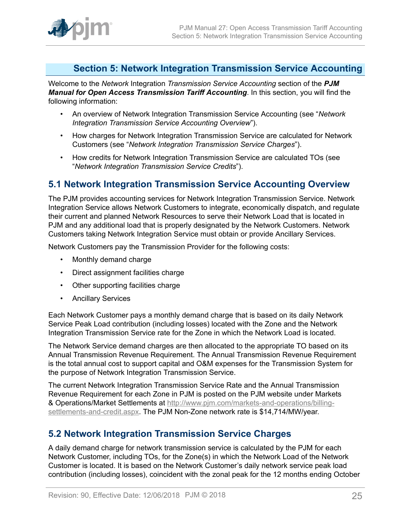

# <span id="page-24-0"></span>**Section 5: Network Integration Transmission Service Accounting**

Welcome to the *Network* Integration *Transmission Service Accounting* section of the *PJM Manual for Open Access Transmission Tariff Accounting*. In this section, you will find the following information:

- An overview of Network Integration Transmission Service Accounting (see "*Network Integration Transmission Service Accounting Overview*").
- How charges for Network Integration Transmission Service are calculated for Network Customers (see "*Network Integration Transmission Service Charges*").
- How credits for Network Integration Transmission Service are calculated TOs (see "*Network Integration Transmission Service Credits*").

# <span id="page-24-1"></span>**5.1 Network Integration Transmission Service Accounting Overview**

The PJM provides accounting services for Network Integration Transmission Service. Network Integration Service allows Network Customers to integrate, economically dispatch, and regulate their current and planned Network Resources to serve their Network Load that is located in PJM and any additional load that is properly designated by the Network Customers. Network Customers taking Network Integration Service must obtain or provide Ancillary Services.

Network Customers pay the Transmission Provider for the following costs:

- Monthly demand charge
- Direct assignment facilities charge
- Other supporting facilities charge
- Ancillary Services

Each Network Customer pays a monthly demand charge that is based on its daily Network Service Peak Load contribution (including losses) located with the Zone and the Network Integration Transmission Service rate for the Zone in which the Network Load is located.

The Network Service demand charges are then allocated to the appropriate TO based on its Annual Transmission Revenue Requirement. The Annual Transmission Revenue Requirement is the total annual cost to support capital and O&M expenses for the Transmission System for the purpose of Network Integration Transmission Service.

The current Network Integration Transmission Service Rate and the Annual Transmission Revenue Requirement for each Zone in PJM is posted on the PJM website under Markets & Operations/Market Settlements at [http://www.pjm.com/markets-and-operations/billing](http://www.pjm.com/markets-and-operations/billing-settlements-and-credit.aspx)[settlements-and-credit.aspx](http://www.pjm.com/markets-and-operations/billing-settlements-and-credit.aspx). The PJM Non-Zone network rate is \$14,714/MW/year.

# <span id="page-24-2"></span>**5.2 Network Integration Transmission Service Charges**

A daily demand charge for network transmission service is calculated by the PJM for each Network Customer, including TOs, for the Zone(s) in which the Network Load of the Network Customer is located. It is based on the Network Customer's daily network service peak load contribution (including losses), coincident with the zonal peak for the 12 months ending October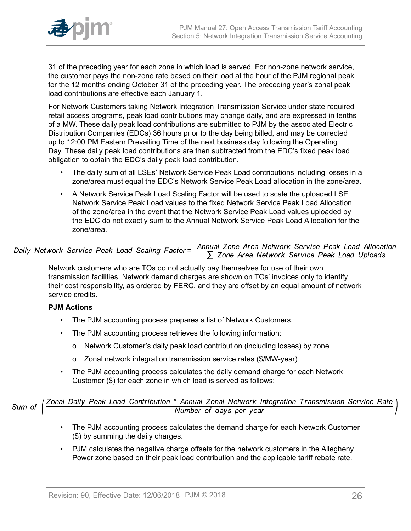

31 of the preceding year for each zone in which load is served. For non-zone network service, the customer pays the non-zone rate based on their load at the hour of the PJM regional peak for the 12 months ending October 31 of the preceding year. The preceding year's zonal peak load contributions are effective each January 1.

For Network Customers taking Network Integration Transmission Service under state required retail access programs, peak load contributions may change daily, and are expressed in tenths of a MW. These daily peak load contributions are submitted to PJM by the associated Electric Distribution Companies (EDCs) 36 hours prior to the day being billed, and may be corrected up to 12:00 PM Eastern Prevailing Time of the next business day following the Operating Day. These daily peak load contributions are then subtracted from the EDC's fixed peak load obligation to obtain the EDC's daily peak load contribution.

- The daily sum of all LSEs' Network Service Peak Load contributions including losses in a zone/area must equal the EDC's Network Service Peak Load allocation in the zone/area.
- A Network Service Peak Load Scaling Factor will be used to scale the uploaded LSE Network Service Peak Load values to the fixed Network Service Peak Load Allocation of the zone/area in the event that the Network Service Peak Load values uploaded by the EDC do not exactly sum to the Annual Network Service Peak Load Allocation for the zone/area.

# Daily Network Service Peak Load Scaling Factor =  $\frac{\text{Annual} \text{ zone Area Network Service Peak Load Allocation}}{\sum \text{ zone Area Network Service Peak Load Uploads}}$

Network customers who are TOs do not actually pay themselves for use of their own transmission facilities. Network demand charges are shown on TOs' invoices only to identify their cost responsibility, as ordered by FERC, and they are offset by an equal amount of network service credits.

# **PJM Actions**

- The PJM accounting process prepares a list of Network Customers.
- The PJM accounting process retrieves the following information:
	- o Network Customer's daily peak load contribution (including losses) by zone
	- o Zonal network integration transmission service rates (\$/MW-year)
- The PJM accounting process calculates the daily demand charge for each Network Customer (\$) for each zone in which load is served as follows:

Sum of  $\left(\frac{Zonal\ Daily\ Peak\ Load\ Continution\ *\ Annual\ Zonal\ Network\ Integration\ Transmission\ Service\ Rate}{Number\ of\ days\ per\ year}$ 

- The PJM accounting process calculates the demand charge for each Network Customer (\$) by summing the daily charges.
- PJM calculates the negative charge offsets for the network customers in the Allegheny Power zone based on their peak load contribution and the applicable tariff rebate rate.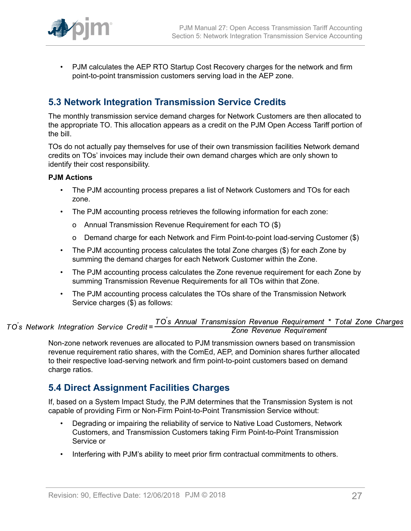

• PJM calculates the AEP RTO Startup Cost Recovery charges for the network and firm point-to-point transmission customers serving load in the AEP zone.

# <span id="page-26-0"></span>**5.3 Network Integration Transmission Service Credits**

The monthly transmission service demand charges for Network Customers are then allocated to the appropriate TO. This allocation appears as a credit on the PJM Open Access Tariff portion of the bill.

TOs do not actually pay themselves for use of their own transmission facilities Network demand credits on TOs' invoices may include their own demand charges which are only shown to identify their cost responsibility.

# **PJM Actions**

- The PJM accounting process prepares a list of Network Customers and TOs for each zone.
- The PJM accounting process retrieves the following information for each zone:
	- o Annual Transmission Revenue Requirement for each TO (\$)
	- o Demand charge for each Network and Firm Point-to-point load-serving Customer (\$)
- The PJM accounting process calculates the total Zone charges (\$) for each Zone by summing the demand charges for each Network Customer within the Zone.
- The PJM accounting process calculates the Zone revenue requirement for each Zone by summing Transmission Revenue Requirements for all TOs within that Zone.
- The PJM accounting process calculates the TOs share of the Transmission Network Service charges (\$) as follows:

# TO's Annual Transmission Revenue Requirement \* Total Zone Charges<br>Zone Revenue Requirement TO's Network Integration Service Credit=

Non-zone network revenues are allocated to PJM transmission owners based on transmission revenue requirement ratio shares, with the ComEd, AEP, and Dominion shares further allocated to their respective load-serving network and firm point-to-point customers based on demand charge ratios.

# <span id="page-26-1"></span>**5.4 Direct Assignment Facilities Charges**

If, based on a System Impact Study, the PJM determines that the Transmission System is not capable of providing Firm or Non-Firm Point-to-Point Transmission Service without:

- Degrading or impairing the reliability of service to Native Load Customers, Network Customers, and Transmission Customers taking Firm Point-to-Point Transmission Service or
- Interfering with PJM's ability to meet prior firm contractual commitments to others.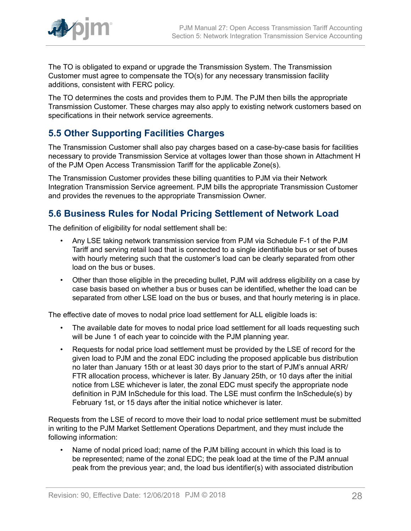

The TO is obligated to expand or upgrade the Transmission System. The Transmission Customer must agree to compensate the TO(s) for any necessary transmission facility additions, consistent with FERC policy.

The TO determines the costs and provides them to PJM. The PJM then bills the appropriate Transmission Customer. These charges may also apply to existing network customers based on specifications in their network service agreements.

# <span id="page-27-0"></span>**5.5 Other Supporting Facilities Charges**

The Transmission Customer shall also pay charges based on a case-by-case basis for facilities necessary to provide Transmission Service at voltages lower than those shown in Attachment H of the PJM Open Access Transmission Tariff for the applicable Zone(s).

The Transmission Customer provides these billing quantities to PJM via their Network Integration Transmission Service agreement. PJM bills the appropriate Transmission Customer and provides the revenues to the appropriate Transmission Owner.

# <span id="page-27-1"></span>**5.6 Business Rules for Nodal Pricing Settlement of Network Load**

The definition of eligibility for nodal settlement shall be:

- Any LSE taking network transmission service from PJM via Schedule F-1 of the PJM Tariff and serving retail load that is connected to a single identifiable bus or set of buses with hourly metering such that the customer's load can be clearly separated from other load on the bus or buses.
- Other than those eligible in the preceding bullet, PJM will address eligibility on a case by case basis based on whether a bus or buses can be identified, whether the load can be separated from other LSE load on the bus or buses, and that hourly metering is in place.

The effective date of moves to nodal price load settlement for ALL eligible loads is:

- The available date for moves to nodal price load settlement for all loads requesting such will be June 1 of each year to coincide with the PJM planning year.
- Requests for nodal price load settlement must be provided by the LSE of record for the given load to PJM and the zonal EDC including the proposed applicable bus distribution no later than January 15th or at least 30 days prior to the start of PJM's annual ARR/ FTR allocation process, whichever is later. By January 25th, or 10 days after the initial notice from LSE whichever is later, the zonal EDC must specify the appropriate node definition in PJM InSchedule for this load. The LSE must confirm the InSchedule(s) by February 1st, or 15 days after the initial notice whichever is later.

Requests from the LSE of record to move their load to nodal price settlement must be submitted in writing to the PJM Market Settlement Operations Department, and they must include the following information:

• Name of nodal priced load; name of the PJM billing account in which this load is to be represented; name of the zonal EDC; the peak load at the time of the PJM annual peak from the previous year; and, the load bus identifier(s) with associated distribution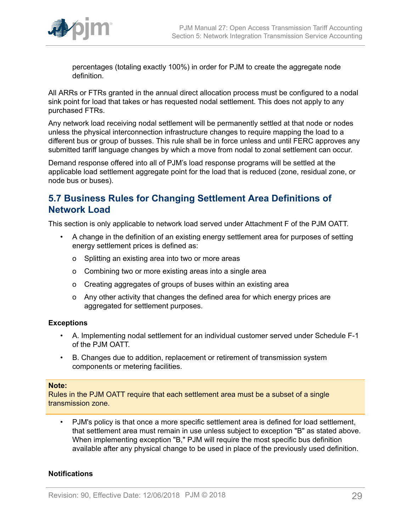

percentages (totaling exactly 100%) in order for PJM to create the aggregate node definition.

All ARRs or FTRs granted in the annual direct allocation process must be configured to a nodal sink point for load that takes or has requested nodal settlement. This does not apply to any purchased FTRs.

Any network load receiving nodal settlement will be permanently settled at that node or nodes unless the physical interconnection infrastructure changes to require mapping the load to a different bus or group of busses. This rule shall be in force unless and until FERC approves any submitted tariff language changes by which a move from nodal to zonal settlement can occur.

Demand response offered into all of PJM's load response programs will be settled at the applicable load settlement aggregate point for the load that is reduced (zone, residual zone, or node bus or buses).

# <span id="page-28-0"></span>**5.7 Business Rules for Changing Settlement Area Definitions of Network Load**

This section is only applicable to network load served under Attachment F of the PJM OATT.

- A change in the definition of an existing energy settlement area for purposes of setting energy settlement prices is defined as:
	- o Splitting an existing area into two or more areas
	- o Combining two or more existing areas into a single area
	- o Creating aggregates of groups of buses within an existing area
	- o Any other activity that changes the defined area for which energy prices are aggregated for settlement purposes.

# **Exceptions**

- A. Implementing nodal settlement for an individual customer served under Schedule F-1 of the PJM OATT.
- B. Changes due to addition, replacement or retirement of transmission system components or metering facilities.

#### **Note:**

Rules in the PJM OATT require that each settlement area must be a subset of a single transmission zone.

• PJM's policy is that once a more specific settlement area is defined for load settlement, that settlement area must remain in use unless subject to exception "B" as stated above. When implementing exception "B," PJM will require the most specific bus definition available after any physical change to be used in place of the previously used definition.

# **Notifications**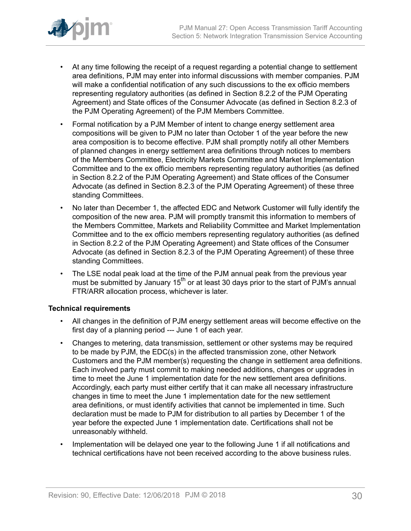

- At any time following the receipt of a request regarding a potential change to settlement area definitions, PJM may enter into informal discussions with member companies. PJM will make a confidential notification of any such discussions to the ex officio members representing regulatory authorities (as defined in Section 8.2.2 of the PJM Operating Agreement) and State offices of the Consumer Advocate (as defined in Section 8.2.3 of the PJM Operating Agreement) of the PJM Members Committee.
- Formal notification by a PJM Member of intent to change energy settlement area compositions will be given to PJM no later than October 1 of the year before the new area composition is to become effective. PJM shall promptly notify all other Members of planned changes in energy settlement area definitions through notices to members of the Members Committee, Electricity Markets Committee and Market Implementation Committee and to the ex officio members representing regulatory authorities (as defined in Section 8.2.2 of the PJM Operating Agreement) and State offices of the Consumer Advocate (as defined in Section 8.2.3 of the PJM Operating Agreement) of these three standing Committees.
- No later than December 1, the affected EDC and Network Customer will fully identify the composition of the new area. PJM will promptly transmit this information to members of the Members Committee, Markets and Reliability Committee and Market Implementation Committee and to the ex officio members representing regulatory authorities (as defined in Section 8.2.2 of the PJM Operating Agreement) and State offices of the Consumer Advocate (as defined in Section 8.2.3 of the PJM Operating Agreement) of these three standing Committees.
- The LSE nodal peak load at the time of the PJM annual peak from the previous year must be submitted by January  $15<sup>th</sup>$  or at least 30 days prior to the start of PJM's annual FTR/ARR allocation process, whichever is later.

# **Technical requirements**

- All changes in the definition of PJM energy settlement areas will become effective on the first day of a planning period --- June 1 of each year.
- Changes to metering, data transmission, settlement or other systems may be required to be made by PJM, the EDC(s) in the affected transmission zone, other Network Customers and the PJM member(s) requesting the change in settlement area definitions. Each involved party must commit to making needed additions, changes or upgrades in time to meet the June 1 implementation date for the new settlement area definitions. Accordingly, each party must either certify that it can make all necessary infrastructure changes in time to meet the June 1 implementation date for the new settlement area definitions, or must identify activities that cannot be implemented in time. Such declaration must be made to PJM for distribution to all parties by December 1 of the year before the expected June 1 implementation date. Certifications shall not be unreasonably withheld.
- Implementation will be delayed one year to the following June 1 if all notifications and technical certifications have not been received according to the above business rules.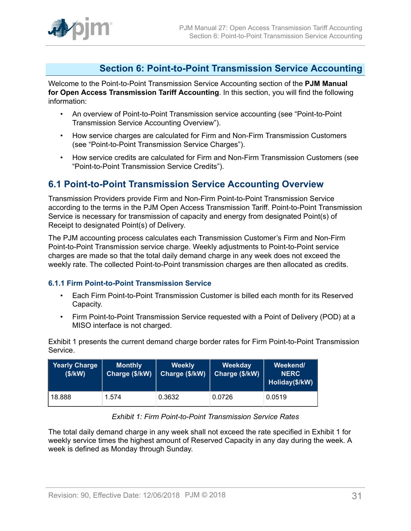# <span id="page-30-0"></span>**Section 6: Point-to-Point Transmission Service Accounting**

Welcome to the Point-to-Point Transmission Service Accounting section of the **PJM Manual for Open Access Transmission Tariff Accounting**. In this section, you will find the following information:

- An overview of Point-to-Point Transmission service accounting (see "Point-to-Point Transmission Service Accounting Overview").
- How service charges are calculated for Firm and Non-Firm Transmission Customers (see "Point-to-Point Transmission Service Charges").
- How service credits are calculated for Firm and Non-Firm Transmission Customers (see "Point-to-Point Transmission Service Credits").

# <span id="page-30-1"></span>**6.1 Point-to-Point Transmission Service Accounting Overview**

Transmission Providers provide Firm and Non-Firm Point-to-Point Transmission Service according to the terms in the PJM Open Access Transmission Tariff. Point-to-Point Transmission Service is necessary for transmission of capacity and energy from designated Point(s) of Receipt to designated Point(s) of Delivery.

The PJM accounting process calculates each Transmission Customer's Firm and Non-Firm Point-to-Point Transmission service charge. Weekly adjustments to Point-to-Point service charges are made so that the total daily demand charge in any week does not exceed the weekly rate. The collected Point-to-Point transmission charges are then allocated as credits.

# <span id="page-30-2"></span>**6.1.1 Firm Point-to-Point Transmission Service**

- Each Firm Point-to-Point Transmission Customer is billed each month for its Reserved Capacity.
- Firm Point-to-Point Transmission Service requested with a Point of Delivery (POD) at a MISO interface is not charged.

Exhibit 1 presents the current demand charge border rates for Firm Point-to-Point Transmission Service.

<span id="page-30-3"></span>

| <b>Yearly Charge</b><br>(\$/KN) | <b>Monthly</b><br>Charge (\$/kW) | <b>Weekly</b><br>Charge (\$/kW) | Weekday<br>Charge (\$/kW) | Weekend/<br><b>NERC</b><br>Holiday(\$/kW) |
|---------------------------------|----------------------------------|---------------------------------|---------------------------|-------------------------------------------|
| 18.888                          | 1.574                            | 0.3632                          | 0.0726                    | 0.0519                                    |

# *Exhibit 1: Firm Point-to-Point Transmission Service Rates*

The total daily demand charge in any week shall not exceed the rate specified in Exhibit 1 for weekly service times the highest amount of Reserved Capacity in any day during the week. A week is defined as Monday through Sunday.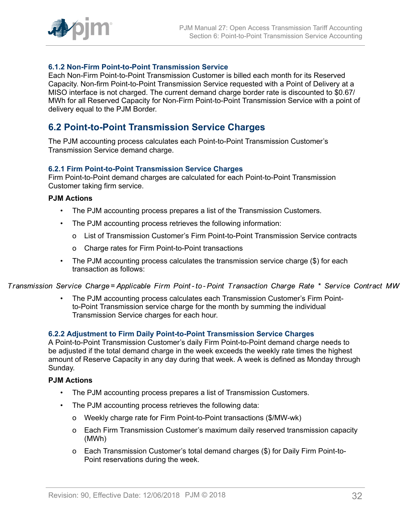

# <span id="page-31-0"></span>**6.1.2 Non-Firm Point-to-Point Transmission Service**

Each Non-Firm Point-to-Point Transmission Customer is billed each month for its Reserved Capacity. Non-firm Point-to-Point Transmission Service requested with a Point of Delivery at a MISO interface is not charged. The current demand charge border rate is discounted to \$0.67/ MWh for all Reserved Capacity for Non-Firm Point-to-Point Transmission Service with a point of delivery equal to the PJM Border.

# <span id="page-31-1"></span>**6.2 Point-to-Point Transmission Service Charges**

The PJM accounting process calculates each Point-to-Point Transmission Customer's Transmission Service demand charge.

# <span id="page-31-2"></span>**6.2.1 Firm Point-to-Point Transmission Service Charges**

Firm Point-to-Point demand charges are calculated for each Point-to-Point Transmission Customer taking firm service.

### **PJM Actions**

- The PJM accounting process prepares a list of the Transmission Customers.
- The PJM accounting process retrieves the following information:
	- o List of Transmission Customer's Firm Point-to-Point Transmission Service contracts
	- o Charge rates for Firm Point-to-Point transactions
- The PJM accounting process calculates the transmission service charge (\$) for each transaction as follows:

Transmission Service Charge= Applicable Firm Point-to-Point Transaction Charge Rate \* Service Contract MW

• The PJM accounting process calculates each Transmission Customer's Firm Pointto-Point Transmission service charge for the month by summing the individual Transmission Service charges for each hour.

# <span id="page-31-3"></span>**6.2.2 Adjustment to Firm Daily Point-to-Point Transmission Service Charges**

A Point-to-Point Transmission Customer's daily Firm Point-to-Point demand charge needs to be adjusted if the total demand charge in the week exceeds the weekly rate times the highest amount of Reserve Capacity in any day during that week. A week is defined as Monday through Sunday.

# **PJM Actions**

- The PJM accounting process prepares a list of Transmission Customers.
- The PJM accounting process retrieves the following data:
	- o Weekly charge rate for Firm Point-to-Point transactions (\$/MW-wk)
	- o Each Firm Transmission Customer's maximum daily reserved transmission capacity (MWh)
	- o Each Transmission Customer's total demand charges (\$) for Daily Firm Point-to-Point reservations during the week.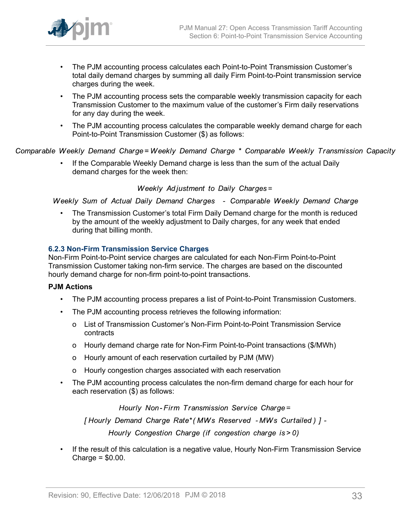

- The PJM accounting process calculates each Point-to-Point Transmission Customer's total daily demand charges by summing all daily Firm Point-to-Point transmission service charges during the week.
- The PJM accounting process sets the comparable weekly transmission capacity for each Transmission Customer to the maximum value of the customer's Firm daily reservations for any day during the week.
- The PJM accounting process calculates the comparable weekly demand charge for each Point-to-Point Transmission Customer (\$) as follows:

Comparable Weekly Demand Charge=Weekly Demand Charge \* Comparable Weekly Transmission Capacity

• If the Comparable Weekly Demand charge is less than the sum of the actual Daily demand charges for the week then:

Weekly Adjustment to Daily Charges=

Weekly Sum of Actual Daily Demand Charges - Comparable Weekly Demand Charge

• The Transmission Customer's total Firm Daily Demand charge for the month is reduced by the amount of the weekly adjustment to Daily charges, for any week that ended during that billing month.

# <span id="page-32-0"></span>**6.2.3 Non-Firm Transmission Service Charges**

Non-Firm Point-to-Point service charges are calculated for each Non-Firm Point-to-Point Transmission Customer taking non-firm service. The charges are based on the discounted hourly demand charge for non-firm point-to-point transactions.

# **PJM Actions**

- The PJM accounting process prepares a list of Point-to-Point Transmission Customers.
- The PJM accounting process retrieves the following information:
	- o List of Transmission Customer's Non-Firm Point-to-Point Transmission Service contracts
	- o Hourly demand charge rate for Non-Firm Point-to-Point transactions (\$/MWh)
	- o Hourly amount of each reservation curtailed by PJM (MW)
	- o Hourly congestion charges associated with each reservation
- The PJM accounting process calculates the non-firm demand charge for each hour for each reservation (\$) as follows:

Hourly Non-Firm Transmission Service Charge=

[Hourly Demand Charge Rate\* (MWs Reserved - MWs Curtailed) ] -

Hourly Congestion Charge (if congestion charge is > 0)

• If the result of this calculation is a negative value, Hourly Non-Firm Transmission Service Charge = \$0.00.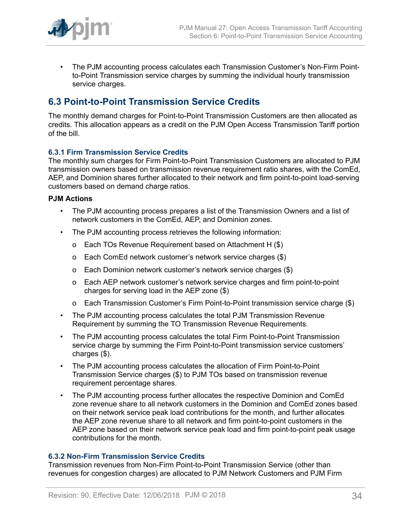

• The PJM accounting process calculates each Transmission Customer's Non-Firm Pointto-Point Transmission service charges by summing the individual hourly transmission service charges.

# <span id="page-33-0"></span>**6.3 Point-to-Point Transmission Service Credits**

The monthly demand charges for Point-to-Point Transmission Customers are then allocated as credits. This allocation appears as a credit on the PJM Open Access Transmission Tariff portion of the bill.

# <span id="page-33-1"></span>**6.3.1 Firm Transmission Service Credits**

The monthly sum charges for Firm Point-to-Point Transmission Customers are allocated to PJM transmission owners based on transmission revenue requirement ratio shares, with the ComEd, AEP, and Dominion shares further allocated to their network and firm point-to-point load-serving customers based on demand charge ratios.

### **PJM Actions**

- The PJM accounting process prepares a list of the Transmission Owners and a list of network customers in the ComEd, AEP, and Dominion zones.
- The PJM accounting process retrieves the following information:
	- o Each TOs Revenue Requirement based on Attachment H (\$)
	- o Each ComEd network customer's network service charges (\$)
	- o Each Dominion network customer's network service charges (\$)
	- o Each AEP network customer's network service charges and firm point-to-point charges for serving load in the AEP zone (\$)
	- o Each Transmission Customer's Firm Point-to-Point transmission service charge (\$)
- The PJM accounting process calculates the total PJM Transmission Revenue Requirement by summing the TO Transmission Revenue Requirements.
- The PJM accounting process calculates the total Firm Point-to-Point Transmission service charge by summing the Firm Point-to-Point transmission service customers' charges (\$).
- The PJM accounting process calculates the allocation of Firm Point-to-Point Transmission Service charges (\$) to PJM TOs based on transmission revenue requirement percentage shares.
- The PJM accounting process further allocates the respective Dominion and ComEd zone revenue share to all network customers in the Dominion and ComEd zones based on their network service peak load contributions for the month, and further allocates the AEP zone revenue share to all network and firm point-to-point customers in the AEP zone based on their network service peak load and firm point-to-point peak usage contributions for the month.

#### <span id="page-33-2"></span>**6.3.2 Non-Firm Transmission Service Credits**

Transmission revenues from Non-Firm Point-to-Point Transmission Service (other than revenues for congestion charges) are allocated to PJM Network Customers and PJM Firm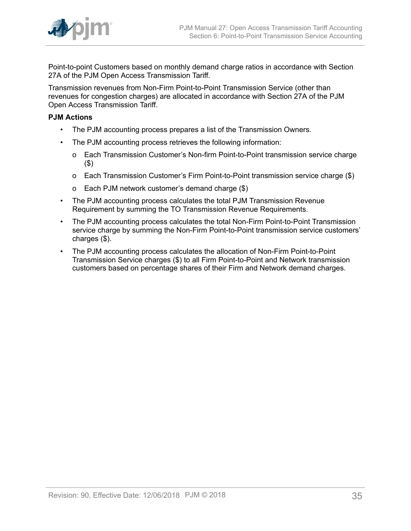

Point-to-point Customers based on monthly demand charge ratios in accordance with Section 27A of the PJM Open Access Transmission Tariff.

Transmission revenues from Non-Firm Point-to-Point Transmission Service (other than revenues for congestion charges) are allocated in accordance with Section 27A of the PJM Open Access Transmission Tariff.

### **PJM Actions**

- The PJM accounting process prepares a list of the Transmission Owners.
- The PJM accounting process retrieves the following information:
	- o Each Transmission Customer's Non-firm Point-to-Point transmission service charge (\$)
	- o Each Transmission Customer's Firm Point-to-Point transmission service charge (\$)
	- o Each PJM network customer's demand charge (\$)
- The PJM accounting process calculates the total PJM Transmission Revenue Requirement by summing the TO Transmission Revenue Requirements.
- The PJM accounting process calculates the total Non-Firm Point-to-Point Transmission service charge by summing the Non-Firm Point-to-Point transmission service customers' charges (\$).
- The PJM accounting process calculates the allocation of Non-Firm Point-to-Point Transmission Service charges (\$) to all Firm Point-to-Point and Network transmission customers based on percentage shares of their Firm and Network demand charges.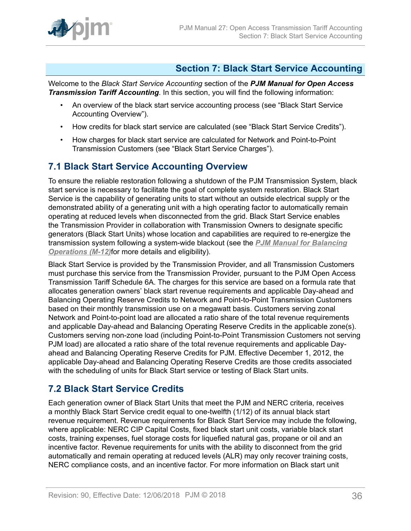

# <span id="page-35-0"></span>**Section 7: Black Start Service Accounting**

Welcome to the *Black Start Service Accounting* section of the *PJM Manual for Open Access Transmission Tariff Accounting*. In this section, you will find the following information:

- An overview of the black start service accounting process (see "Black Start Service Accounting Overview").
- How credits for black start service are calculated (see "Black Start Service Credits").
- How charges for black start service are calculated for Network and Point-to-Point Transmission Customers (see "Black Start Service Charges").

# <span id="page-35-1"></span>**7.1 Black Start Service Accounting Overview**

To ensure the reliable restoration following a shutdown of the PJM Transmission System, black start service is necessary to facilitate the goal of complete system restoration. Black Start Service is the capability of generating units to start without an outside electrical supply or the demonstrated ability of a generating unit with a high operating factor to automatically remain operating at reduced levels when disconnected from the grid. Black Start Service enables the Transmission Provider in collaboration with Transmission Owners to designate specific generators (Black Start Units) whose location and capabilities are required to re-energize the transmission system following a system-wide blackout (see the *[PJM Manual for Balancing](http://www.pjm.com/~/media/documents/manuals/m12.ashx) [Operations \(M-12\)](http://www.pjm.com/~/media/documents/manuals/m12.ashx)*for more details and eligibility).

Black Start Service is provided by the Transmission Provider, and all Transmission Customers must purchase this service from the Transmission Provider, pursuant to the PJM Open Access Transmission Tariff Schedule 6A. The charges for this service are based on a formula rate that allocates generation owners' black start revenue requirements and applicable Day-ahead and Balancing Operating Reserve Credits to Network and Point-to-Point Transmission Customers based on their monthly transmission use on a megawatt basis. Customers serving zonal Network and Point-to-point load are allocated a ratio share of the total revenue requirements and applicable Day-ahead and Balancing Operating Reserve Credits in the applicable zone(s). Customers serving non-zone load (including Point-to-Point Transmission Customers not serving PJM load) are allocated a ratio share of the total revenue requirements and applicable Dayahead and Balancing Operating Reserve Credits for PJM. Effective December 1, 2012, the applicable Day-ahead and Balancing Operating Reserve Credits are those credits associated with the scheduling of units for Black Start service or testing of Black Start units.

# <span id="page-35-2"></span>**7.2 Black Start Service Credits**

Each generation owner of Black Start Units that meet the PJM and NERC criteria, receives a monthly Black Start Service credit equal to one-twelfth (1/12) of its annual black start revenue requirement. Revenue requirements for Black Start Service may include the following, where applicable: NERC CIP Capital Costs, fixed black start unit costs, variable black start costs, training expenses, fuel storage costs for liquefied natural gas, propane or oil and an incentive factor. Revenue requirements for units with the ability to disconnect from the grid automatically and remain operating at reduced levels (ALR) may only recover training costs, NERC compliance costs, and an incentive factor. For more information on Black start unit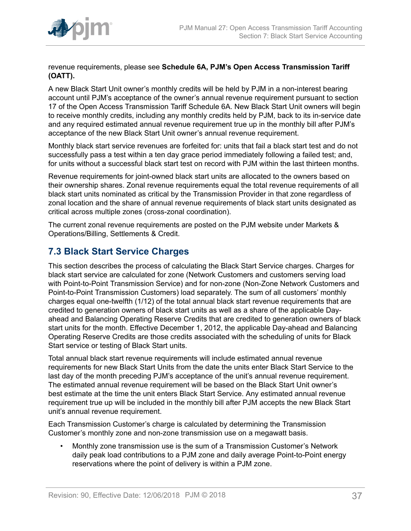

revenue requirements, please see **Schedule 6A, PJM's Open Access Transmission Tariff (OATT).**

A new Black Start Unit owner's monthly credits will be held by PJM in a non-interest bearing account until PJM's acceptance of the owner's annual revenue requirement pursuant to section 17 of the Open Access Transmission Tariff Schedule 6A. New Black Start Unit owners will begin to receive monthly credits, including any monthly credits held by PJM, back to its in-service date and any required estimated annual revenue requirement true up in the monthly bill after PJM's acceptance of the new Black Start Unit owner's annual revenue requirement.

Monthly black start service revenues are forfeited for: units that fail a black start test and do not successfully pass a test within a ten day grace period immediately following a failed test; and, for units without a successful black start test on record with PJM within the last thirteen months.

Revenue requirements for joint-owned black start units are allocated to the owners based on their ownership shares. Zonal revenue requirements equal the total revenue requirements of all black start units nominated as critical by the Transmission Provider in that zone regardless of zonal location and the share of annual revenue requirements of black start units designated as critical across multiple zones (cross-zonal coordination).

The current zonal revenue requirements are posted on the PJM website under Markets & Operations/Billing, Settlements & Credit.

# <span id="page-36-0"></span>**7.3 Black Start Service Charges**

This section describes the process of calculating the Black Start Service charges. Charges for black start service are calculated for zone (Network Customers and customers serving load with Point-to-Point Transmission Service) and for non-zone (Non-Zone Network Customers and Point-to-Point Transmission Customers) load separately. The sum of all customers' monthly charges equal one-twelfth (1/12) of the total annual black start revenue requirements that are credited to generation owners of black start units as well as a share of the applicable Dayahead and Balancing Operating Reserve Credits that are credited to generation owners of black start units for the month. Effective December 1, 2012, the applicable Day-ahead and Balancing Operating Reserve Credits are those credits associated with the scheduling of units for Black Start service or testing of Black Start units.

Total annual black start revenue requirements will include estimated annual revenue requirements for new Black Start Units from the date the units enter Black Start Service to the last day of the month preceding PJM's acceptance of the unit's annual revenue requirement. The estimated annual revenue requirement will be based on the Black Start Unit owner's best estimate at the time the unit enters Black Start Service. Any estimated annual revenue requirement true up will be included in the monthly bill after PJM accepts the new Black Start unit's annual revenue requirement.

Each Transmission Customer's charge is calculated by determining the Transmission Customer's monthly zone and non-zone transmission use on a megawatt basis.

• Monthly zone transmission use is the sum of a Transmission Customer's Network daily peak load contributions to a PJM zone and daily average Point-to-Point energy reservations where the point of delivery is within a PJM zone.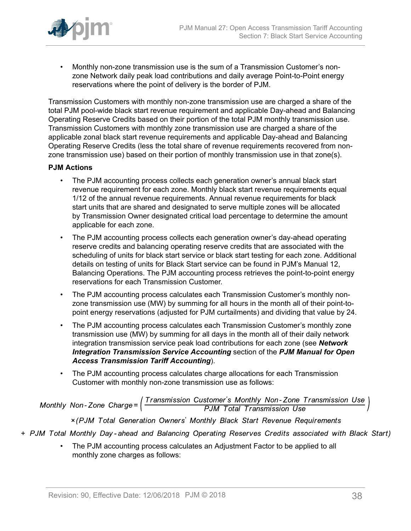

• Monthly non-zone transmission use is the sum of a Transmission Customer's nonzone Network daily peak load contributions and daily average Point-to-Point energy reservations where the point of delivery is the border of PJM.

Transmission Customers with monthly non-zone transmission use are charged a share of the total PJM pool-wide black start revenue requirement and applicable Day-ahead and Balancing Operating Reserve Credits based on their portion of the total PJM monthly transmission use. Transmission Customers with monthly zone transmission use are charged a share of the applicable zonal black start revenue requirements and applicable Day-ahead and Balancing Operating Reserve Credits (less the total share of revenue requirements recovered from nonzone transmission use) based on their portion of monthly transmission use in that zone(s).

# **PJM Actions**

- The PJM accounting process collects each generation owner's annual black start revenue requirement for each zone. Monthly black start revenue requirements equal 1/12 of the annual revenue requirements. Annual revenue requirements for black start units that are shared and designated to serve multiple zones will be allocated by Transmission Owner designated critical load percentage to determine the amount applicable for each zone.
- The PJM accounting process collects each generation owner's day-ahead operating reserve credits and balancing operating reserve credits that are associated with the scheduling of units for black start service or black start testing for each zone. Additional details on testing of units for Black Start service can be found in PJM's Manual 12, Balancing Operations. The PJM accounting process retrieves the point-to-point energy reservations for each Transmission Customer.
- The PJM accounting process calculates each Transmission Customer's monthly nonzone transmission use (MW) by summing for all hours in the month all of their point-topoint energy reservations (adjusted for PJM curtailments) and dividing that value by 24.
- The PJM accounting process calculates each Transmission Customer's monthly zone transmission use (MW) by summing for all days in the month all of their daily network integration transmission service peak load contributions for each zone (see *Network Integration Transmission Service Accounting* section of the *PJM Manual for Open Access Transmission Tariff Accounting*).
- The PJM accounting process calculates charge allocations for each Transmission Customer with monthly non-zone transmission use as follows:

Monthly Non-Zone Charge= $\left(\frac{Transmission\ Customer's\ Monthly\ Non-Zone\ Transmission\ Use}{PJM\ Total\ Transmission\ Use}\right)$ 

x (PJM Total Generation Owners' Monthly Black Start Revenue Requirements

- + PJM Total Monthly Day-ahead and Balancing Operating Reserves Credits associated with Black Start)
	- The PJM accounting process calculates an Adjustment Factor to be applied to all monthly zone charges as follows: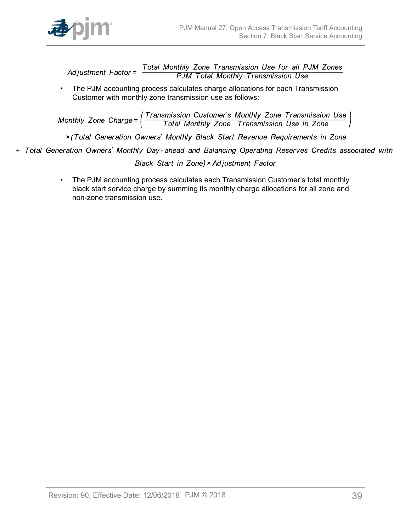

Total Monthly Zone Transmission Use for all PJM Zones<br>PJM Total Monthly Transmission Use Ad iustment  $Factor =$ 

• The PJM accounting process calculates charge allocations for each Transmission Customer with monthly zone transmission use as follows:

Monthly Zone Charge=  $\left(\frac{Transmission\ Customer's\ Monthly\ zone\ Transmission\ Use\ }}{Total\ Monthly\ Zone\ Transmission\ Use\ in\ Zone}$ 

x (Total Generation Owners' Monthly Black Start Revenue Requirements in Zone

+ Total Generation Owners' Monthly Day-ahead and Balancing Operating Reserves Credits associated with

Black Start in Zone) × Adjustment Factor

• The PJM accounting process calculates each Transmission Customer's total monthly black start service charge by summing its monthly charge allocations for all zone and non-zone transmission use.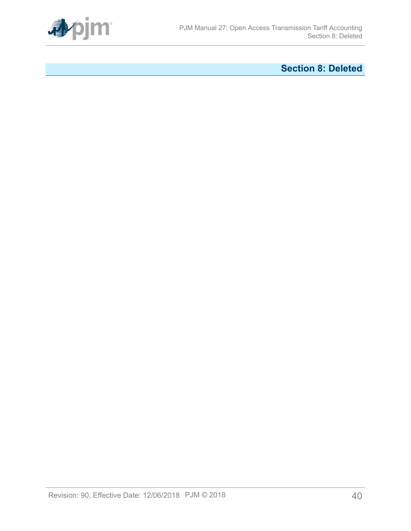

# <span id="page-39-0"></span>**Section 8: Deleted**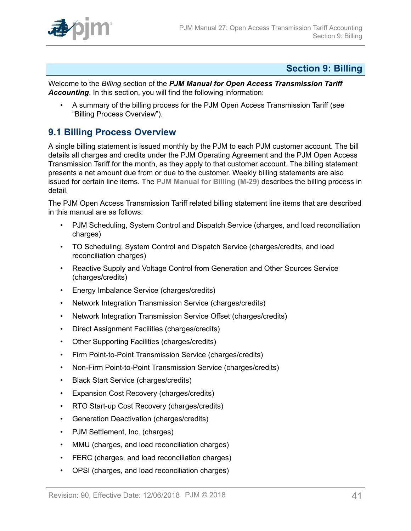

# <span id="page-40-0"></span>**Section 9: Billing**

Welcome to the *Billing* section of the *PJM Manual for Open Access Transmission Tariff Accounting*. In this section, you will find the following information:

• A summary of the billing process for the PJM Open Access Transmission Tariff (see "Billing Process Overview").

# <span id="page-40-1"></span>**9.1 Billing Process Overview**

A single billing statement is issued monthly by the PJM to each PJM customer account. The bill details all charges and credits under the PJM Operating Agreement and the PJM Open Access Transmission Tariff for the month, as they apply to that customer account. The billing statement presents a net amount due from or due to the customer. Weekly billing statements are also issued for certain line items. The **[PJM Manual for Billing \(M-29\)](http://www.pjm.com/~/media/documents/manuals/m29.ashx)** describes the billing process in detail.

The PJM Open Access Transmission Tariff related billing statement line items that are described in this manual are as follows:

- PJM Scheduling, System Control and Dispatch Service (charges, and load reconciliation charges)
- TO Scheduling, System Control and Dispatch Service (charges/credits, and load reconciliation charges)
- Reactive Supply and Voltage Control from Generation and Other Sources Service (charges/credits)
- Energy Imbalance Service (charges/credits)
- Network Integration Transmission Service (charges/credits)
- Network Integration Transmission Service Offset (charges/credits)
- Direct Assignment Facilities (charges/credits)
- Other Supporting Facilities (charges/credits)
- Firm Point-to-Point Transmission Service (charges/credits)
- Non-Firm Point-to-Point Transmission Service (charges/credits)
- Black Start Service (charges/credits)
- Expansion Cost Recovery (charges/credits)
- RTO Start-up Cost Recovery (charges/credits)
- Generation Deactivation (charges/credits)
- PJM Settlement, Inc. (charges)
- MMU (charges, and load reconciliation charges)
- FERC (charges, and load reconciliation charges)
- OPSI (charges, and load reconciliation charges)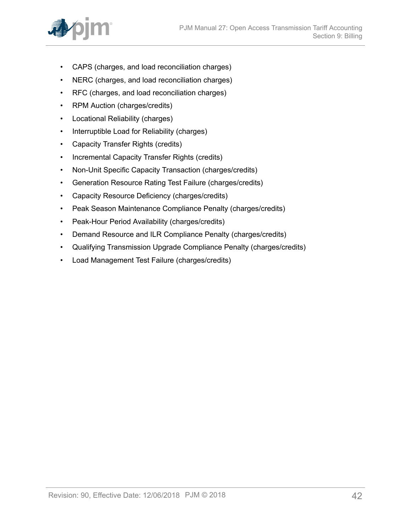

- CAPS (charges, and load reconciliation charges)
- NERC (charges, and load reconciliation charges)
- RFC (charges, and load reconciliation charges)
- RPM Auction (charges/credits)
- Locational Reliability (charges)
- Interruptible Load for Reliability (charges)
- Capacity Transfer Rights (credits)
- Incremental Capacity Transfer Rights (credits)
- Non-Unit Specific Capacity Transaction (charges/credits)
- Generation Resource Rating Test Failure (charges/credits)
- Capacity Resource Deficiency (charges/credits)
- Peak Season Maintenance Compliance Penalty (charges/credits)
- Peak-Hour Period Availability (charges/credits)
- Demand Resource and ILR Compliance Penalty (charges/credits)
- Qualifying Transmission Upgrade Compliance Penalty (charges/credits)
- Load Management Test Failure (charges/credits)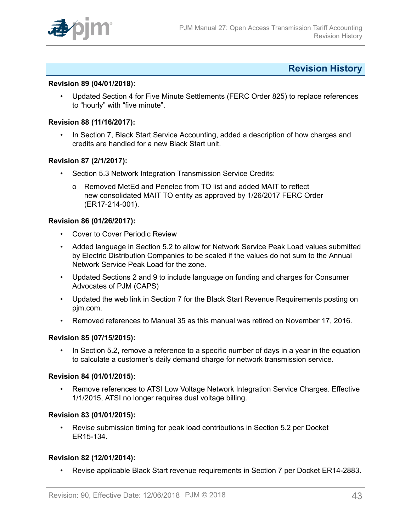

# <span id="page-42-0"></span>**Revision History**

#### **Revision 89 (04/01/2018):**

• Updated Section 4 for Five Minute Settlements (FERC Order 825) to replace references to "hourly" with "five minute".

#### **Revision 88 (11/16/2017):**

• In Section 7, Black Start Service Accounting, added a description of how charges and credits are handled for a new Black Start unit.

### **Revision 87 (2/1/2017):**

- Section 5.3 Network Integration Transmission Service Credits:
	- o Removed MetEd and Penelec from TO list and added MAIT to reflect new consolidated MAIT TO entity as approved by 1/26/2017 FERC Order (ER17-214-001).

### **Revision 86 (01/26/2017):**

- Cover to Cover Periodic Review
- Added language in Section 5.2 to allow for Network Service Peak Load values submitted by Electric Distribution Companies to be scaled if the values do not sum to the Annual Network Service Peak Load for the zone.
- Updated Sections 2 and 9 to include language on funding and charges for Consumer Advocates of PJM (CAPS)
- Updated the web link in Section 7 for the Black Start Revenue Requirements posting on pjm.com.
- Removed references to Manual 35 as this manual was retired on November 17, 2016.

#### **Revision 85 (07/15/2015):**

In Section 5.2, remove a reference to a specific number of days in a year in the equation to calculate a customer's daily demand charge for network transmission service.

#### **Revision 84 (01/01/2015):**

• Remove references to ATSI Low Voltage Network Integration Service Charges. Effective 1/1/2015, ATSI no longer requires dual voltage billing.

#### **Revision 83 (01/01/2015):**

• Revise submission timing for peak load contributions in Section 5.2 per Docket ER15-134.

#### **Revision 82 (12/01/2014):**

• Revise applicable Black Start revenue requirements in Section 7 per Docket ER14-2883.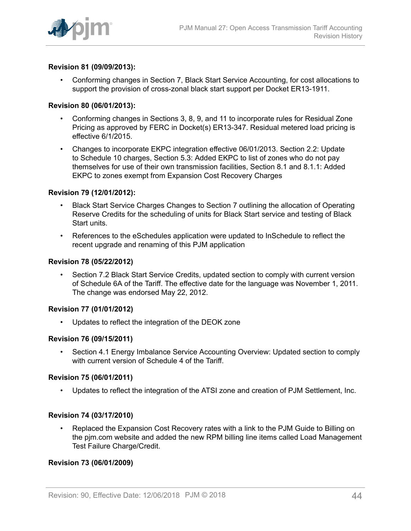

### **Revision 81 (09/09/2013):**

• Conforming changes in Section 7, Black Start Service Accounting, for cost allocations to support the provision of cross-zonal black start support per Docket ER13-1911.

#### **Revision 80 (06/01/2013):**

- Conforming changes in Sections 3, 8, 9, and 11 to incorporate rules for Residual Zone Pricing as approved by FERC in Docket(s) ER13-347. Residual metered load pricing is effective 6/1/2015.
- Changes to incorporate EKPC integration effective 06/01/2013. Section 2.2: Update to Schedule 10 charges, Section 5.3: Added EKPC to list of zones who do not pay themselves for use of their own transmission facilities, Section 8.1 and 8.1.1: Added EKPC to zones exempt from Expansion Cost Recovery Charges

#### **Revision 79 (12/01/2012):**

- Black Start Service Charges Changes to Section 7 outlining the allocation of Operating Reserve Credits for the scheduling of units for Black Start service and testing of Black Start units.
- References to the eSchedules application were updated to InSchedule to reflect the recent upgrade and renaming of this PJM application

#### **Revision 78 (05/22/2012)**

• Section 7.2 Black Start Service Credits, updated section to comply with current version of Schedule 6A of the Tariff. The effective date for the language was November 1, 2011. The change was endorsed May 22, 2012.

#### **Revision 77 (01/01/2012)**

• Updates to reflect the integration of the DEOK zone

#### **Revision 76 (09/15/2011)**

• Section 4.1 Energy Imbalance Service Accounting Overview: Updated section to comply with current version of Schedule 4 of the Tariff.

#### **Revision 75 (06/01/2011)**

• Updates to reflect the integration of the ATSI zone and creation of PJM Settlement, Inc.

#### **Revision 74 (03/17/2010)**

• Replaced the Expansion Cost Recovery rates with a link to the PJM Guide to Billing on the pjm.com website and added the new RPM billing line items called Load Management Test Failure Charge/Credit.

#### **Revision 73 (06/01/2009)**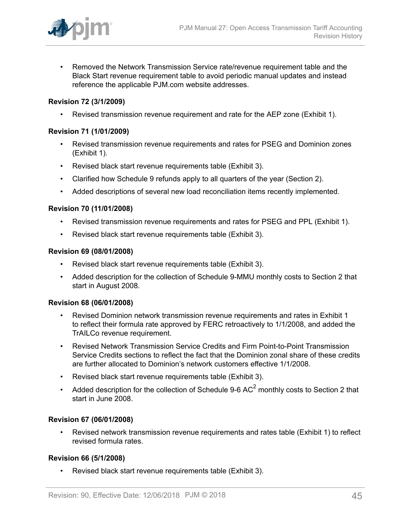

• Removed the Network Transmission Service rate/revenue requirement table and the Black Start revenue requirement table to avoid periodic manual updates and instead reference the applicable PJM.com website addresses.

# **Revision 72 (3/1/2009)**

• Revised transmission revenue requirement and rate for the AEP zone (Exhibit 1).

# **Revision 71 (1/01/2009)**

- Revised transmission revenue requirements and rates for PSEG and Dominion zones (Exhibit 1).
- Revised black start revenue requirements table (Exhibit 3).
- Clarified how Schedule 9 refunds apply to all quarters of the year (Section 2).
- Added descriptions of several new load reconciliation items recently implemented.

# **Revision 70 (11/01/2008)**

- Revised transmission revenue requirements and rates for PSEG and PPL (Exhibit 1).
- Revised black start revenue requirements table (Exhibit 3).

### **Revision 69 (08/01/2008)**

- Revised black start revenue requirements table (Exhibit 3).
- Added description for the collection of Schedule 9-MMU monthly costs to Section 2 that start in August 2008.

# **Revision 68 (06/01/2008)**

- Revised Dominion network transmission revenue requirements and rates in Exhibit 1 to reflect their formula rate approved by FERC retroactively to 1/1/2008, and added the TrAILCo revenue requirement.
- Revised Network Transmission Service Credits and Firm Point-to-Point Transmission Service Credits sections to reflect the fact that the Dominion zonal share of these credits are further allocated to Dominion's network customers effective 1/1/2008.
- Revised black start revenue requirements table (Exhibit 3).
- Added description for the collection of Schedule 9-6 AC<sup>2</sup> monthly costs to Section 2 that start in June 2008.

# **Revision 67 (06/01/2008)**

• Revised network transmission revenue requirements and rates table (Exhibit 1) to reflect revised formula rates.

# **Revision 66 (5/1/2008)**

• Revised black start revenue requirements table (Exhibit 3).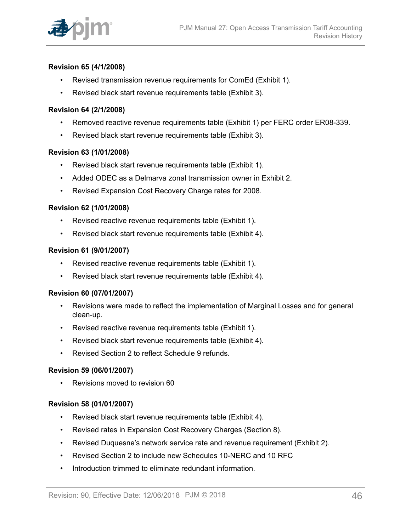

# **Revision 65 (4/1/2008)**

- Revised transmission revenue requirements for ComEd (Exhibit 1).
- Revised black start revenue requirements table (Exhibit 3).

### **Revision 64 (2/1/2008)**

- Removed reactive revenue requirements table (Exhibit 1) per FERC order ER08-339.
- Revised black start revenue requirements table (Exhibit 3).

### **Revision 63 (1/01/2008)**

- Revised black start revenue requirements table (Exhibit 1).
- Added ODEC as a Delmarva zonal transmission owner in Exhibit 2.
- Revised Expansion Cost Recovery Charge rates for 2008.

### **Revision 62 (1/01/2008)**

- Revised reactive revenue requirements table (Exhibit 1).
- Revised black start revenue requirements table (Exhibit 4).

### **Revision 61 (9/01/2007)**

- Revised reactive revenue requirements table (Exhibit 1).
- Revised black start revenue requirements table (Exhibit 4).

#### **Revision 60 (07/01/2007)**

- Revisions were made to reflect the implementation of Marginal Losses and for general clean-up.
- Revised reactive revenue requirements table (Exhibit 1).
- Revised black start revenue requirements table (Exhibit 4).
- Revised Section 2 to reflect Schedule 9 refunds.

# **Revision 59 (06/01/2007)**

• Revisions moved to revision 60

# **Revision 58 (01/01/2007)**

- Revised black start revenue requirements table (Exhibit 4).
- Revised rates in Expansion Cost Recovery Charges (Section 8).
- Revised Duquesne's network service rate and revenue requirement (Exhibit 2).
- Revised Section 2 to include new Schedules 10-NERC and 10 RFC
- Introduction trimmed to eliminate redundant information.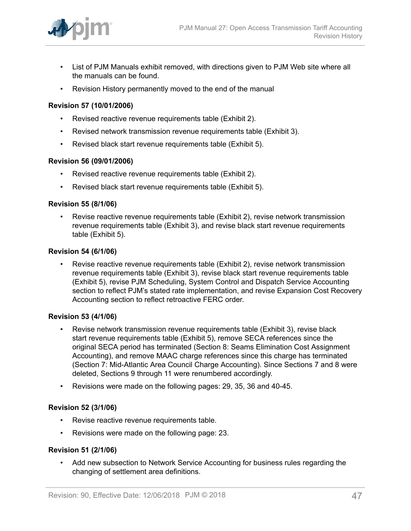

- List of PJM Manuals exhibit removed, with directions given to PJM Web site where all the manuals can be found.
- Revision History permanently moved to the end of the manual

# **Revision 57 (10/01/2006)**

- Revised reactive revenue requirements table (Exhibit 2).
- Revised network transmission revenue requirements table (Exhibit 3).
- Revised black start revenue requirements table (Exhibit 5).

### **Revision 56 (09/01/2006)**

- Revised reactive revenue requirements table (Exhibit 2).
- Revised black start revenue requirements table (Exhibit 5).

#### **Revision 55 (8/1/06)**

• Revise reactive revenue requirements table (Exhibit 2), revise network transmission revenue requirements table (Exhibit 3), and revise black start revenue requirements table (Exhibit 5).

#### **Revision 54 (6/1/06)**

• Revise reactive revenue requirements table (Exhibit 2), revise network transmission revenue requirements table (Exhibit 3), revise black start revenue requirements table (Exhibit 5), revise PJM Scheduling, System Control and Dispatch Service Accounting section to reflect PJM's stated rate implementation, and revise Expansion Cost Recovery Accounting section to reflect retroactive FERC order.

#### **Revision 53 (4/1/06)**

- Revise network transmission revenue requirements table (Exhibit 3), revise black start revenue requirements table (Exhibit 5), remove SECA references since the original SECA period has terminated (Section 8: Seams Elimination Cost Assignment Accounting), and remove MAAC charge references since this charge has terminated (Section 7: Mid-Atlantic Area Council Charge Accounting). Since Sections 7 and 8 were deleted, Sections 9 through 11 were renumbered accordingly.
- Revisions were made on the following pages: 29, 35, 36 and 40-45.

# **Revision 52 (3/1/06)**

- Revise reactive revenue requirements table.
- Revisions were made on the following page: 23.

#### **Revision 51 (2/1/06)**

• Add new subsection to Network Service Accounting for business rules regarding the changing of settlement area definitions.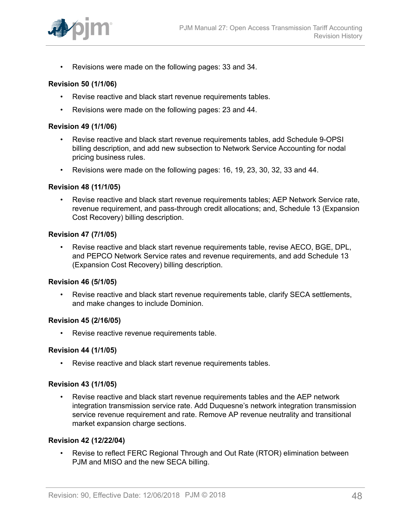

• Revisions were made on the following pages: 33 and 34.

#### **Revision 50 (1/1/06)**

- Revise reactive and black start revenue requirements tables.
- Revisions were made on the following pages: 23 and 44.

#### **Revision 49 (1/1/06)**

- Revise reactive and black start revenue requirements tables, add Schedule 9-OPSI billing description, and add new subsection to Network Service Accounting for nodal pricing business rules.
- Revisions were made on the following pages: 16, 19, 23, 30, 32, 33 and 44.

#### **Revision 48 (11/1/05)**

• Revise reactive and black start revenue requirements tables; AEP Network Service rate, revenue requirement, and pass-through credit allocations; and, Schedule 13 (Expansion Cost Recovery) billing description.

#### **Revision 47 (7/1/05)**

• Revise reactive and black start revenue requirements table, revise AECO, BGE, DPL, and PEPCO Network Service rates and revenue requirements, and add Schedule 13 (Expansion Cost Recovery) billing description.

#### **Revision 46 (5/1/05)**

• Revise reactive and black start revenue requirements table, clarify SECA settlements, and make changes to include Dominion.

#### **Revision 45 (2/16/05)**

• Revise reactive revenue requirements table.

#### **Revision 44 (1/1/05)**

• Revise reactive and black start revenue requirements tables.

#### **Revision 43 (1/1/05)**

• Revise reactive and black start revenue requirements tables and the AEP network integration transmission service rate. Add Duquesne's network integration transmission service revenue requirement and rate. Remove AP revenue neutrality and transitional market expansion charge sections.

#### **Revision 42 (12/22/04)**

• Revise to reflect FERC Regional Through and Out Rate (RTOR) elimination between PJM and MISO and the new SECA billing.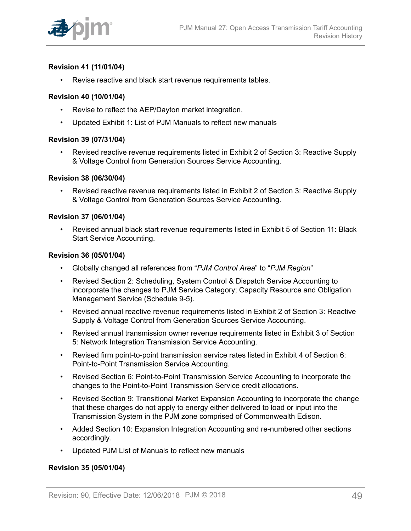

# **Revision 41 (11/01/04)**

• Revise reactive and black start revenue requirements tables.

#### **Revision 40 (10/01/04)**

- Revise to reflect the AEP/Dayton market integration.
- Updated Exhibit 1: List of PJM Manuals to reflect new manuals

#### **Revision 39 (07/31/04)**

• Revised reactive revenue requirements listed in Exhibit 2 of Section 3: Reactive Supply & Voltage Control from Generation Sources Service Accounting.

#### **Revision 38 (06/30/04)**

• Revised reactive revenue requirements listed in Exhibit 2 of Section 3: Reactive Supply & Voltage Control from Generation Sources Service Accounting.

#### **Revision 37 (06/01/04)**

• Revised annual black start revenue requirements listed in Exhibit 5 of Section 11: Black Start Service Accounting.

#### **Revision 36 (05/01/04)**

- Globally changed all references from "*PJM Control Area*" to "*PJM Region*"
- Revised Section 2: Scheduling, System Control & Dispatch Service Accounting to incorporate the changes to PJM Service Category; Capacity Resource and Obligation Management Service (Schedule 9-5).
- Revised annual reactive revenue requirements listed in Exhibit 2 of Section 3: Reactive Supply & Voltage Control from Generation Sources Service Accounting.
- Revised annual transmission owner revenue requirements listed in Exhibit 3 of Section 5: Network Integration Transmission Service Accounting.
- Revised firm point-to-point transmission service rates listed in Exhibit 4 of Section 6: Point-to-Point Transmission Service Accounting.
- Revised Section 6: Point-to-Point Transmission Service Accounting to incorporate the changes to the Point-to-Point Transmission Service credit allocations.
- Revised Section 9: Transitional Market Expansion Accounting to incorporate the change that these charges do not apply to energy either delivered to load or input into the Transmission System in the PJM zone comprised of Commonwealth Edison.
- Added Section 10: Expansion Integration Accounting and re-numbered other sections accordingly.
- Updated PJM List of Manuals to reflect new manuals

#### **Revision 35 (05/01/04)**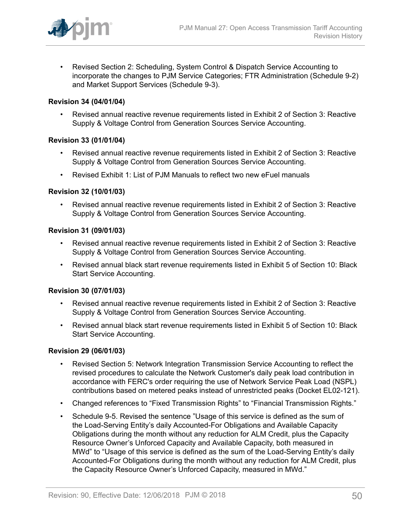

• Revised Section 2: Scheduling, System Control & Dispatch Service Accounting to incorporate the changes to PJM Service Categories; FTR Administration (Schedule 9-2) and Market Support Services (Schedule 9-3).

### **Revision 34 (04/01/04)**

• Revised annual reactive revenue requirements listed in Exhibit 2 of Section 3: Reactive Supply & Voltage Control from Generation Sources Service Accounting.

### **Revision 33 (01/01/04)**

- Revised annual reactive revenue requirements listed in Exhibit 2 of Section 3: Reactive Supply & Voltage Control from Generation Sources Service Accounting.
- Revised Exhibit 1: List of PJM Manuals to reflect two new eFuel manuals

### **Revision 32 (10/01/03)**

• Revised annual reactive revenue requirements listed in Exhibit 2 of Section 3: Reactive Supply & Voltage Control from Generation Sources Service Accounting.

#### **Revision 31 (09/01/03)**

- Revised annual reactive revenue requirements listed in Exhibit 2 of Section 3: Reactive Supply & Voltage Control from Generation Sources Service Accounting.
- Revised annual black start revenue requirements listed in Exhibit 5 of Section 10: Black Start Service Accounting.

#### **Revision 30 (07/01/03)**

- Revised annual reactive revenue requirements listed in Exhibit 2 of Section 3: Reactive Supply & Voltage Control from Generation Sources Service Accounting.
- Revised annual black start revenue requirements listed in Exhibit 5 of Section 10: Black Start Service Accounting.

#### **Revision 29 (06/01/03)**

- Revised Section 5: Network Integration Transmission Service Accounting to reflect the revised procedures to calculate the Network Customer's daily peak load contribution in accordance with FERC's order requiring the use of Network Service Peak Load (NSPL) contributions based on metered peaks instead of unrestricted peaks (Docket EL02-121).
- Changed references to "Fixed Transmission Rights" to "Financial Transmission Rights."
- Schedule 9-5. Revised the sentence "Usage of this service is defined as the sum of the Load-Serving Entity's daily Accounted-For Obligations and Available Capacity Obligations during the month without any reduction for ALM Credit, plus the Capacity Resource Owner's Unforced Capacity and Available Capacity, both measured in MWd" to "Usage of this service is defined as the sum of the Load-Serving Entity's daily Accounted-For Obligations during the month without any reduction for ALM Credit, plus the Capacity Resource Owner's Unforced Capacity, measured in MWd."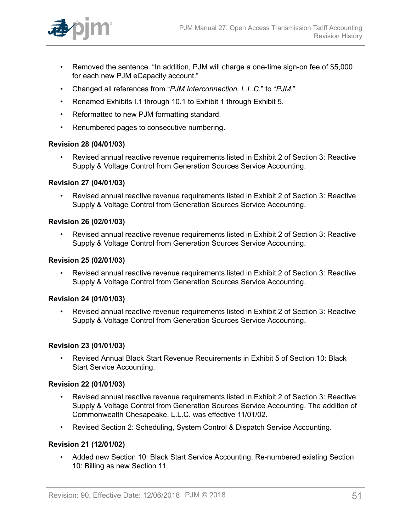

- Removed the sentence. "In addition, PJM will charge a one-time sign-on fee of \$5,000 for each new PJM eCapacity account."
- Changed all references from "*PJM Interconnection, L.L.C.*" to "*PJM*."
- Renamed Exhibits I.1 through 10.1 to Exhibit 1 through Exhibit 5.
- Reformatted to new PJM formatting standard.
- Renumbered pages to consecutive numbering.

### **Revision 28 (04/01/03)**

• Revised annual reactive revenue requirements listed in Exhibit 2 of Section 3: Reactive Supply & Voltage Control from Generation Sources Service Accounting.

#### **Revision 27 (04/01/03)**

• Revised annual reactive revenue requirements listed in Exhibit 2 of Section 3: Reactive Supply & Voltage Control from Generation Sources Service Accounting.

# **Revision 26 (02/01/03)**

• Revised annual reactive revenue requirements listed in Exhibit 2 of Section 3: Reactive Supply & Voltage Control from Generation Sources Service Accounting.

### **Revision 25 (02/01/03)**

• Revised annual reactive revenue requirements listed in Exhibit 2 of Section 3: Reactive Supply & Voltage Control from Generation Sources Service Accounting.

#### **Revision 24 (01/01/03)**

• Revised annual reactive revenue requirements listed in Exhibit 2 of Section 3: Reactive Supply & Voltage Control from Generation Sources Service Accounting.

#### **Revision 23 (01/01/03)**

• Revised Annual Black Start Revenue Requirements in Exhibit 5 of Section 10: Black Start Service Accounting.

#### **Revision 22 (01/01/03)**

- Revised annual reactive revenue requirements listed in Exhibit 2 of Section 3: Reactive Supply & Voltage Control from Generation Sources Service Accounting. The addition of Commonwealth Chesapeake, L.L.C. was effective 11/01/02.
- Revised Section 2: Scheduling, System Control & Dispatch Service Accounting.

# **Revision 21 (12/01/02)**

• Added new Section 10: Black Start Service Accounting. Re-numbered existing Section 10: Billing as new Section 11.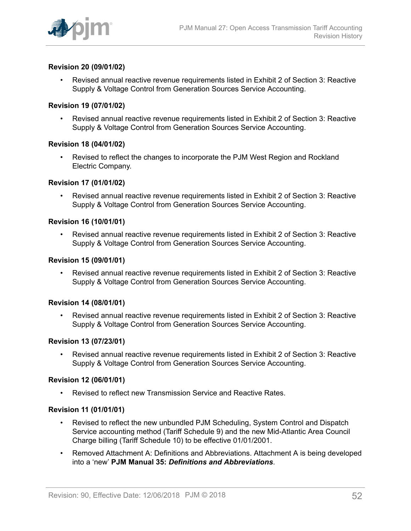

### **Revision 20 (09/01/02)**

• Revised annual reactive revenue requirements listed in Exhibit 2 of Section 3: Reactive Supply & Voltage Control from Generation Sources Service Accounting.

#### **Revision 19 (07/01/02)**

• Revised annual reactive revenue requirements listed in Exhibit 2 of Section 3: Reactive Supply & Voltage Control from Generation Sources Service Accounting.

#### **Revision 18 (04/01/02)**

• Revised to reflect the changes to incorporate the PJM West Region and Rockland Electric Company.

#### **Revision 17 (01/01/02)**

• Revised annual reactive revenue requirements listed in Exhibit 2 of Section 3: Reactive Supply & Voltage Control from Generation Sources Service Accounting.

## **Revision 16 (10/01/01)**

• Revised annual reactive revenue requirements listed in Exhibit 2 of Section 3: Reactive Supply & Voltage Control from Generation Sources Service Accounting.

#### **Revision 15 (09/01/01)**

• Revised annual reactive revenue requirements listed in Exhibit 2 of Section 3: Reactive Supply & Voltage Control from Generation Sources Service Accounting.

#### **Revision 14 (08/01/01)**

• Revised annual reactive revenue requirements listed in Exhibit 2 of Section 3: Reactive Supply & Voltage Control from Generation Sources Service Accounting.

#### **Revision 13 (07/23/01)**

• Revised annual reactive revenue requirements listed in Exhibit 2 of Section 3: Reactive Supply & Voltage Control from Generation Sources Service Accounting.

#### **Revision 12 (06/01/01)**

• Revised to reflect new Transmission Service and Reactive Rates.

#### **Revision 11 (01/01/01)**

- Revised to reflect the new unbundled PJM Scheduling, System Control and Dispatch Service accounting method (Tariff Schedule 9) and the new Mid-Atlantic Area Council Charge billing (Tariff Schedule 10) to be effective 01/01/2001.
- Removed Attachment A: Definitions and Abbreviations. Attachment A is being developed into a 'new' **PJM Manual 35:** *Definitions and Abbreviations*.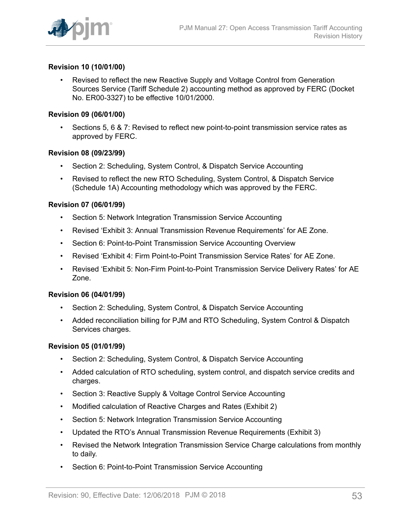

### **Revision 10 (10/01/00)**

• Revised to reflect the new Reactive Supply and Voltage Control from Generation Sources Service (Tariff Schedule 2) accounting method as approved by FERC (Docket No. ER00-3327) to be effective 10/01/2000.

#### **Revision 09 (06/01/00)**

• Sections 5, 6 & 7: Revised to reflect new point-to-point transmission service rates as approved by FERC.

#### **Revision 08 (09/23/99)**

- Section 2: Scheduling, System Control, & Dispatch Service Accounting
- Revised to reflect the new RTO Scheduling, System Control, & Dispatch Service (Schedule 1A) Accounting methodology which was approved by the FERC.

### **Revision 07 (06/01/99)**

- Section 5: Network Integration Transmission Service Accounting
- Revised 'Exhibit 3: Annual Transmission Revenue Requirements' for AE Zone.
- Section 6: Point-to-Point Transmission Service Accounting Overview
- Revised 'Exhibit 4: Firm Point-to-Point Transmission Service Rates' for AE Zone.
- Revised 'Exhibit 5: Non-Firm Point-to-Point Transmission Service Delivery Rates' for AE Zone.

#### **Revision 06 (04/01/99)**

- Section 2: Scheduling, System Control, & Dispatch Service Accounting
- Added reconciliation billing for PJM and RTO Scheduling, System Control & Dispatch Services charges.

#### **Revision 05 (01/01/99)**

- Section 2: Scheduling, System Control, & Dispatch Service Accounting
- Added calculation of RTO scheduling, system control, and dispatch service credits and charges.
- Section 3: Reactive Supply & Voltage Control Service Accounting
- Modified calculation of Reactive Charges and Rates (Exhibit 2)
- Section 5: Network Integration Transmission Service Accounting
- Updated the RTO's Annual Transmission Revenue Requirements (Exhibit 3)
- Revised the Network Integration Transmission Service Charge calculations from monthly to daily.
- Section 6: Point-to-Point Transmission Service Accounting